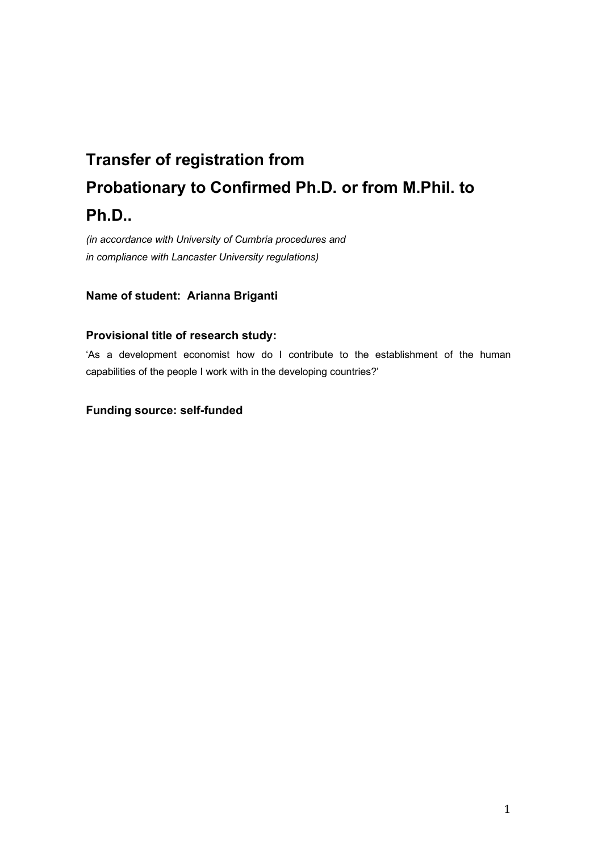# **Transfer of registration from Probationary to Confirmed Ph.D. or from M.Phil. to Ph.D..**

*(in accordance with University of Cumbria procedures and in compliance with Lancaster University regulations)* 

# **Name of student: Arianna Briganti**

# **Provisional title of research study:**

'As a development economist how do I contribute to the establishment of the human capabilities of the people I work with in the developing countries?'

# **Funding source: self-funded**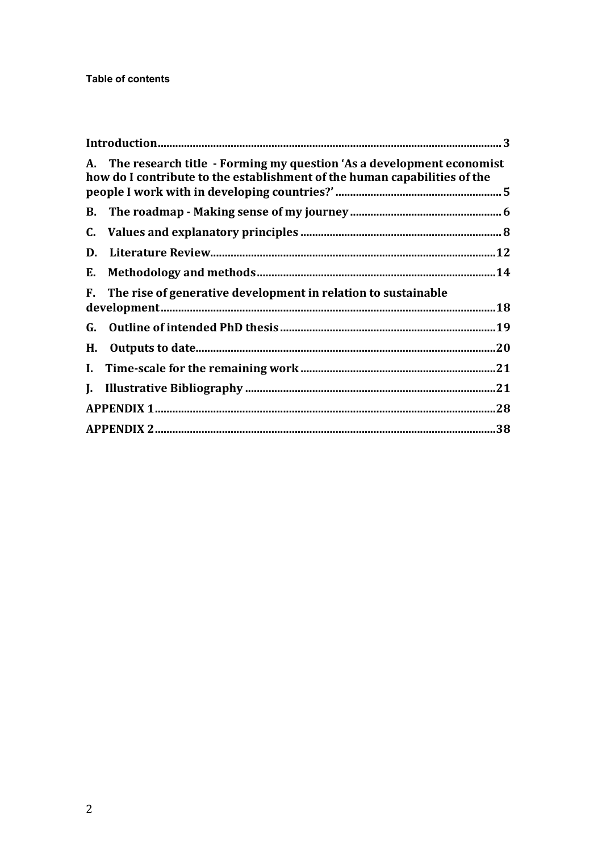|    | A. The research title - Forming my question 'As a development economist<br>how do I contribute to the establishment of the human capabilities of the |     |
|----|------------------------------------------------------------------------------------------------------------------------------------------------------|-----|
|    |                                                                                                                                                      |     |
|    |                                                                                                                                                      |     |
|    |                                                                                                                                                      |     |
|    |                                                                                                                                                      |     |
|    | F. The rise of generative development in relation to sustainable                                                                                     | .18 |
|    |                                                                                                                                                      |     |
| H. |                                                                                                                                                      | .20 |
|    |                                                                                                                                                      | .21 |
|    |                                                                                                                                                      | .21 |
|    |                                                                                                                                                      |     |
|    |                                                                                                                                                      | .38 |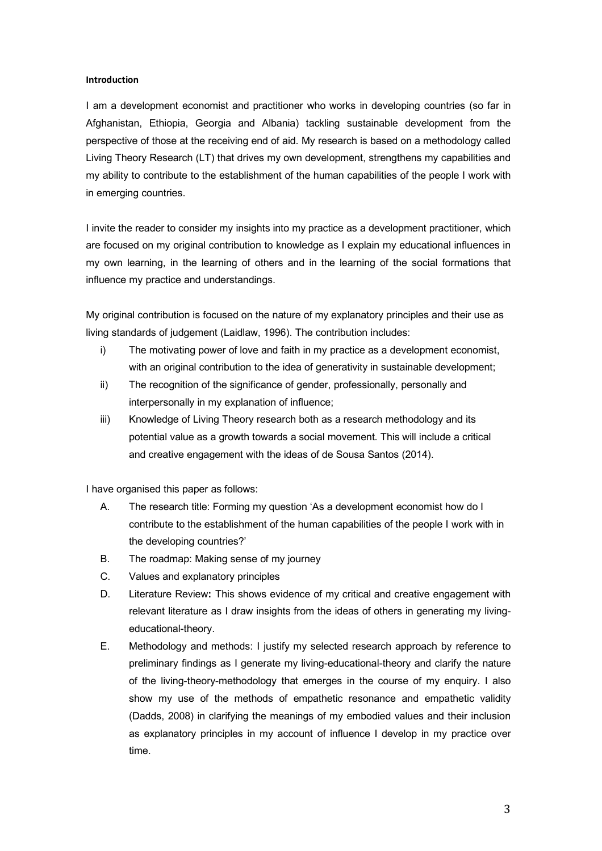#### **Introduction**

I am a development economist and practitioner who works in developing countries (so far in Afghanistan, Ethiopia, Georgia and Albania) tackling sustainable development from the perspective of those at the receiving end of aid. My research is based on a methodology called Living Theory Research (LT) that drives my own development, strengthens my capabilities and my ability to contribute to the establishment of the human capabilities of the people I work with in emerging countries.

I invite the reader to consider my insights into my practice as a development practitioner, which are focused on my original contribution to knowledge as I explain my educational influences in my own learning, in the learning of others and in the learning of the social formations that influence my practice and understandings.

My original contribution is focused on the nature of my explanatory principles and their use as living standards of judgement (Laidlaw, 1996). The contribution includes:

- i) The motivating power of love and faith in my practice as a development economist, with an original contribution to the idea of generativity in sustainable development;
- ii) The recognition of the significance of gender, professionally, personally and interpersonally in my explanation of influence;
- iii) Knowledge of Living Theory research both as a research methodology and its potential value as a growth towards a social movement. This will include a critical and creative engagement with the ideas of de Sousa Santos (2014).

I have organised this paper as follows:

- A. The research title: Forming my question 'As a development economist how do I contribute to the establishment of the human capabilities of the people I work with in the developing countries?'
- B. The roadmap: Making sense of my journey
- C. Values and explanatory principles
- D. Literature Review**:** This shows evidence of my critical and creative engagement with relevant literature as I draw insights from the ideas of others in generating my livingeducational-theory.
- E. Methodology and methods: I justify my selected research approach by reference to preliminary findings as I generate my living-educational-theory and clarify the nature of the living-theory-methodology that emerges in the course of my enquiry. I also show my use of the methods of empathetic resonance and empathetic validity (Dadds, 2008) in clarifying the meanings of my embodied values and their inclusion as explanatory principles in my account of influence I develop in my practice over time.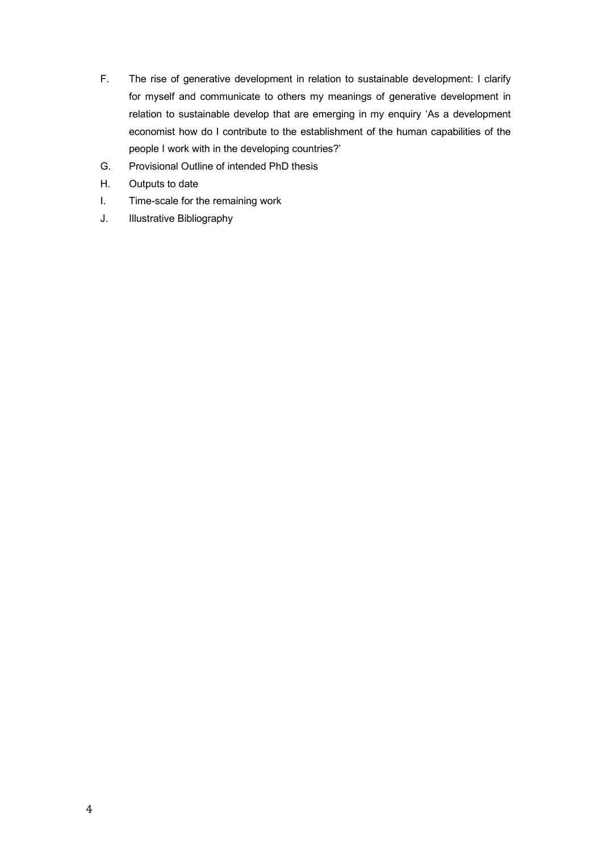- F. The rise of generative development in relation to sustainable development: I clarify for myself and communicate to others my meanings of generative development in relation to sustainable develop that are emerging in my enquiry 'As a development economist how do I contribute to the establishment of the human capabilities of the people I work with in the developing countries?'
- G. Provisional Outline of intended PhD thesis
- H. Outputs to date
- I. Time-scale for the remaining work
- J. Illustrative Bibliography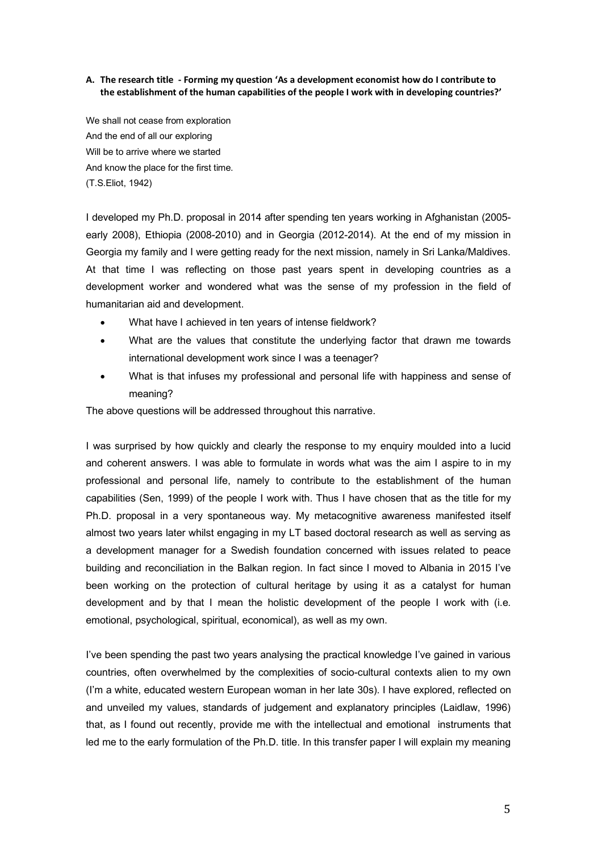### **A. The research title - Forming my question 'As a development economist how do I contribute to the establishment of the human capabilities of the people I work with in developing countries?'**

We shall not cease from exploration And the end of all our exploring Will be to arrive where we started And know the place for the first time. (T.S.Eliot, 1942)

I developed my Ph.D. proposal in 2014 after spending ten years working in Afghanistan (2005 early 2008), Ethiopia (2008-2010) and in Georgia (2012-2014). At the end of my mission in Georgia my family and I were getting ready for the next mission, namely in Sri Lanka/Maldives. At that time I was reflecting on those past years spent in developing countries as a development worker and wondered what was the sense of my profession in the field of humanitarian aid and development.

- What have I achieved in ten years of intense fieldwork?
- What are the values that constitute the underlying factor that drawn me towards international development work since I was a teenager?
- What is that infuses my professional and personal life with happiness and sense of meaning?

The above questions will be addressed throughout this narrative.

I was surprised by how quickly and clearly the response to my enquiry moulded into a lucid and coherent answers. I was able to formulate in words what was the aim I aspire to in my professional and personal life, namely to contribute to the establishment of the human capabilities (Sen, 1999) of the people I work with. Thus I have chosen that as the title for my Ph.D. proposal in a very spontaneous way. My metacognitive awareness manifested itself almost two years later whilst engaging in my LT based doctoral research as well as serving as a development manager for a Swedish foundation concerned with issues related to peace building and reconciliation in the Balkan region. In fact since I moved to Albania in 2015 I've been working on the protection of cultural heritage by using it as a catalyst for human development and by that I mean the holistic development of the people I work with (i.e. emotional, psychological, spiritual, economical), as well as my own.

I've been spending the past two years analysing the practical knowledge I've gained in various countries, often overwhelmed by the complexities of socio-cultural contexts alien to my own (I'm a white, educated western European woman in her late 30s). I have explored, reflected on and unveiled my values, standards of judgement and explanatory principles (Laidlaw, 1996) that, as I found out recently, provide me with the intellectual and emotional instruments that led me to the early formulation of the Ph.D. title. In this transfer paper I will explain my meaning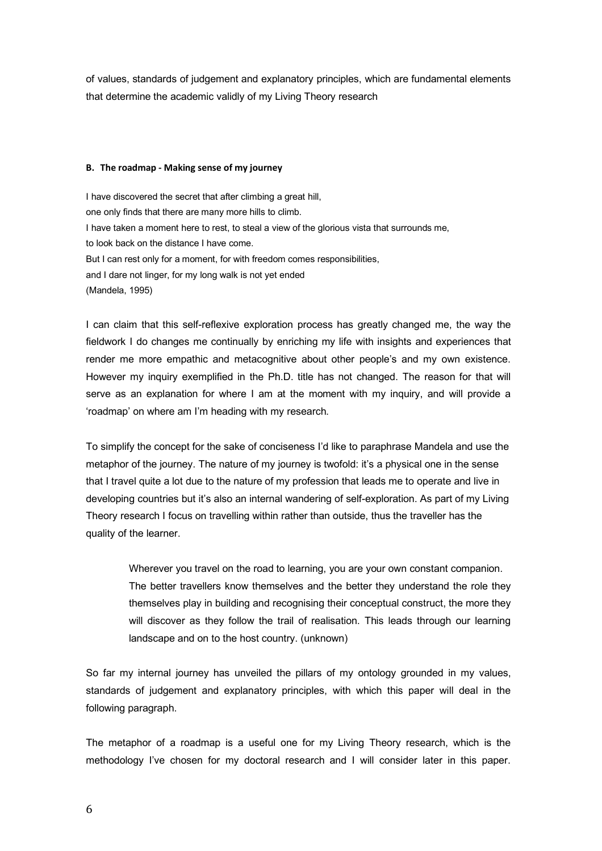of values, standards of judgement and explanatory principles, which are fundamental elements that determine the academic validly of my Living Theory research

#### **B. The roadmap - Making sense of my journey**

I have discovered the secret that after climbing a great hill, one only finds that there are many more hills to climb. I have taken a moment here to rest, to steal a view of the glorious vista that surrounds me, to look back on the distance I have come. But I can rest only for a moment, for with freedom comes responsibilities, and I dare not linger, for my long walk is not yet ended (Mandela, 1995)

I can claim that this self-reflexive exploration process has greatly changed me, the way the fieldwork I do changes me continually by enriching my life with insights and experiences that render me more empathic and metacognitive about other people's and my own existence. However my inquiry exemplified in the Ph.D. title has not changed. The reason for that will serve as an explanation for where I am at the moment with my inquiry, and will provide a 'roadmap' on where am I'm heading with my research.

To simplify the concept for the sake of conciseness I'd like to paraphrase Mandela and use the metaphor of the journey. The nature of my journey is twofold: it's a physical one in the sense that I travel quite a lot due to the nature of my profession that leads me to operate and live in developing countries but it's also an internal wandering of self-exploration. As part of my Living Theory research I focus on travelling within rather than outside, thus the traveller has the quality of the learner.

> Wherever you travel on the road to learning, you are your own constant companion. The better travellers know themselves and the better they understand the role they themselves play in building and recognising their conceptual construct, the more they will discover as they follow the trail of realisation. This leads through our learning landscape and on to the host country. (unknown)

So far my internal journey has unveiled the pillars of my ontology grounded in my values, standards of judgement and explanatory principles, with which this paper will deal in the following paragraph.

The metaphor of a roadmap is a useful one for my Living Theory research, which is the methodology I've chosen for my doctoral research and I will consider later in this paper.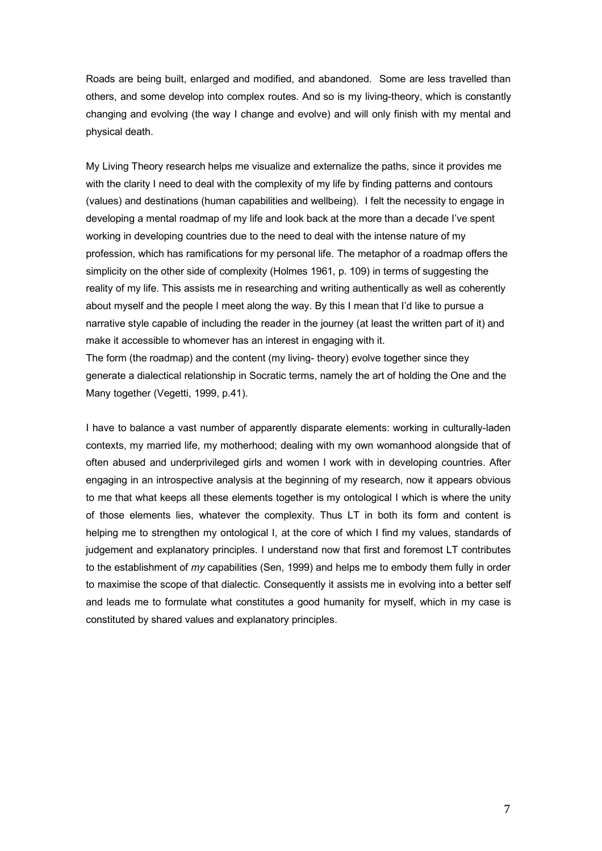Roads are being built, enlarged and modified, and abandoned. Some are less travelled than others, and some develop into complex routes. And so is my living-theory, which is constantly changing and evolving (the way I change and evolve) and will only finish with my mental and physical death.

My Living Theory research helps me visualize and externalize the paths, since it provides me with the clarity I need to deal with the complexity of my life by finding patterns and contours (values) and destinations (human capabilities and wellbeing). I felt the necessity to engage in developing a mental roadmap of my life and look back at the more than a decade I've spent working in developing countries due to the need to deal with the intense nature of my profession, which has ramifications for my personal life. The metaphor of a roadmap offers the simplicity on the other side of complexity (Holmes 1961, p. 109) in terms of suggesting the reality of my life. This assists me in researching and writing authentically as well as coherently about myself and the people I meet along the way. By this I mean that I'd like to pursue a narrative style capable of including the reader in the journey (at least the written part of it) and make it accessible to whomever has an interest in engaging with it. The form (the roadmap) and the content (my living- theory) evolve together since they generate a dialectical relationship in Socratic terms, namely the art of holding the One and the Many together (Vegetti, 1999, p.41).

I have to balance a vast number of apparently disparate elements: working in culturally-laden contexts, my married life, my motherhood; dealing with my own womanhood alongside that of often abused and underprivileged girls and women I work with in developing countries. After engaging in an introspective analysis at the beginning of my research, now it appears obvious to me that what keeps all these elements together is my ontological I which is where the unity of those elements lies, whatever the complexity. Thus LT in both its form and content is helping me to strengthen my ontological I, at the core of which I find my values, standards of judgement and explanatory principles. I understand now that first and foremost LT contributes to the establishment of *my* capabilities (Sen, 1999) and helps me to embody them fully in order to maximise the scope of that dialectic. Consequently it assists me in evolving into a better self and leads me to formulate what constitutes a good humanity for myself, which in my case is constituted by shared values and explanatory principles.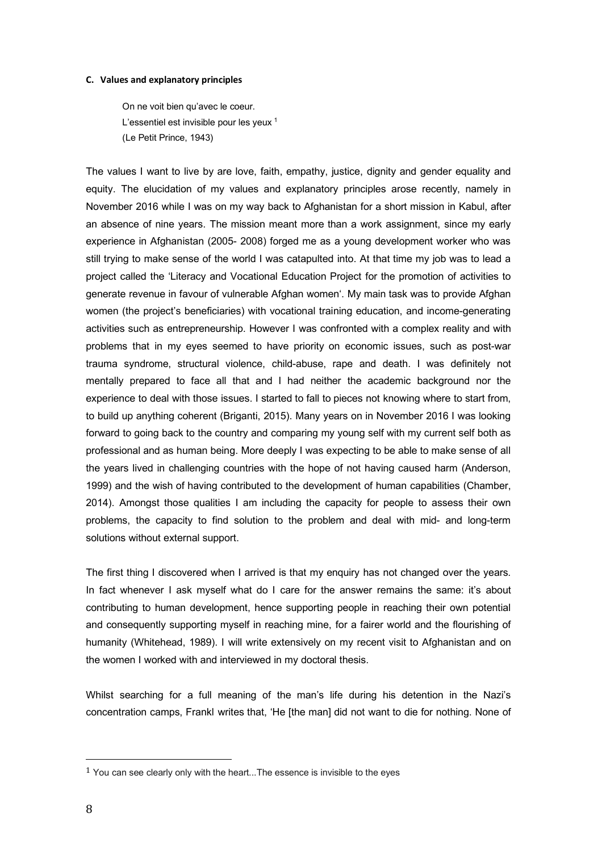#### **C. Values and explanatory principles**

On ne voit bien qu'avec le coeur. L'essentiel est invisible pour les yeux <sup>1</sup> (Le Petit Prince, 1943)

The values I want to live by are love, faith, empathy, justice, dignity and gender equality and equity. The elucidation of my values and explanatory principles arose recently, namely in November 2016 while I was on my way back to Afghanistan for a short mission in Kabul, after an absence of nine years. The mission meant more than a work assignment, since my early experience in Afghanistan (2005- 2008) forged me as a young development worker who was still trying to make sense of the world I was catapulted into. At that time my job was to lead a project called the 'Literacy and Vocational Education Project for the promotion of activities to generate revenue in favour of vulnerable Afghan women'. My main task was to provide Afghan women (the project's beneficiaries) with vocational training education, and income-generating activities such as entrepreneurship. However I was confronted with a complex reality and with problems that in my eyes seemed to have priority on economic issues, such as post-war trauma syndrome, structural violence, child-abuse, rape and death. I was definitely not mentally prepared to face all that and I had neither the academic background nor the experience to deal with those issues. I started to fall to pieces not knowing where to start from, to build up anything coherent (Briganti, 2015). Many years on in November 2016 I was looking forward to going back to the country and comparing my young self with my current self both as professional and as human being. More deeply I was expecting to be able to make sense of all the years lived in challenging countries with the hope of not having caused harm (Anderson, 1999) and the wish of having contributed to the development of human capabilities (Chamber, 2014). Amongst those qualities I am including the capacity for people to assess their own problems, the capacity to find solution to the problem and deal with mid- and long-term solutions without external support.

The first thing I discovered when I arrived is that my enquiry has not changed over the years. In fact whenever I ask myself what do I care for the answer remains the same: it's about contributing to human development, hence supporting people in reaching their own potential and consequently supporting myself in reaching mine, for a fairer world and the flourishing of humanity (Whitehead, 1989). I will write extensively on my recent visit to Afghanistan and on the women I worked with and interviewed in my doctoral thesis.

Whilst searching for a full meaning of the man's life during his detention in the Nazi's concentration camps, Frankl writes that, 'He [the man] did not want to die for nothing. None of

 

 $1$  You can see clearly only with the heart... The essence is invisible to the eyes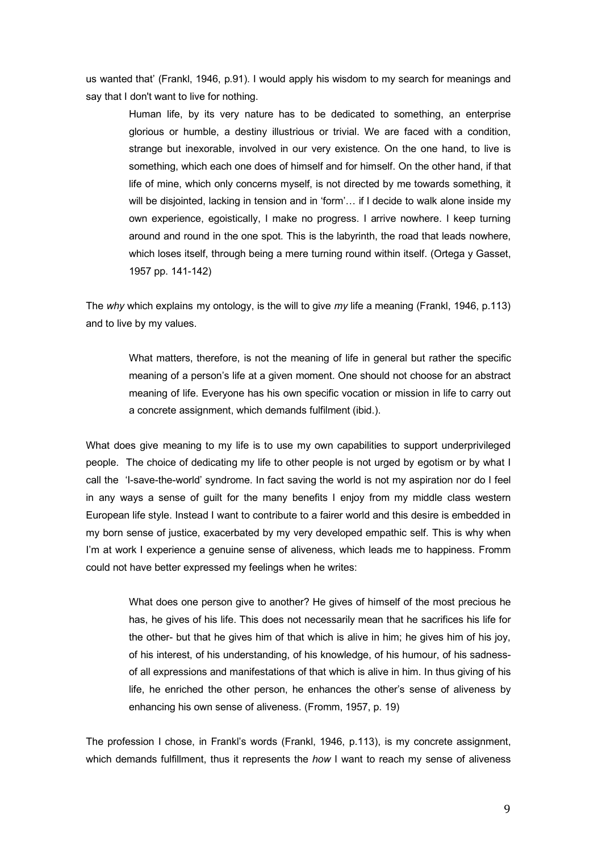us wanted that' (Frankl, 1946, p.91). I would apply his wisdom to my search for meanings and say that I don't want to live for nothing.

Human life, by its very nature has to be dedicated to something, an enterprise glorious or humble, a destiny illustrious or trivial. We are faced with a condition, strange but inexorable, involved in our very existence. On the one hand, to live is something, which each one does of himself and for himself. On the other hand, if that life of mine, which only concerns myself, is not directed by me towards something, it will be disjointed, lacking in tension and in 'form'… if I decide to walk alone inside my own experience, egoistically, I make no progress. I arrive nowhere. I keep turning around and round in the one spot. This is the labyrinth, the road that leads nowhere, which loses itself, through being a mere turning round within itself. (Ortega y Gasset, 1957 pp. 141-142)

The *why* which explains my ontology, is the will to give *my* life a meaning (Frankl, 1946, p.113) and to live by my values.

What matters, therefore, is not the meaning of life in general but rather the specific meaning of a person's life at a given moment. One should not choose for an abstract meaning of life. Everyone has his own specific vocation or mission in life to carry out a concrete assignment, which demands fulfilment (ibid.).

What does give meaning to my life is to use my own capabilities to support underprivileged people. The choice of dedicating my life to other people is not urged by egotism or by what I call the 'I-save-the-world' syndrome. In fact saving the world is not my aspiration nor do I feel in any ways a sense of guilt for the many benefits I enjoy from my middle class western European life style. Instead I want to contribute to a fairer world and this desire is embedded in my born sense of justice, exacerbated by my very developed empathic self. This is why when I'm at work I experience a genuine sense of aliveness, which leads me to happiness. Fromm could not have better expressed my feelings when he writes:

What does one person give to another? He gives of himself of the most precious he has, he gives of his life. This does not necessarily mean that he sacrifices his life for the other- but that he gives him of that which is alive in him; he gives him of his joy, of his interest, of his understanding, of his knowledge, of his humour, of his sadnessof all expressions and manifestations of that which is alive in him. In thus giving of his life, he enriched the other person, he enhances the other's sense of aliveness by enhancing his own sense of aliveness. (Fromm, 1957, p. 19)

The profession I chose, in Frankl's words (Frankl, 1946, p.113), is my concrete assignment, which demands fulfillment, thus it represents the *how* I want to reach my sense of aliveness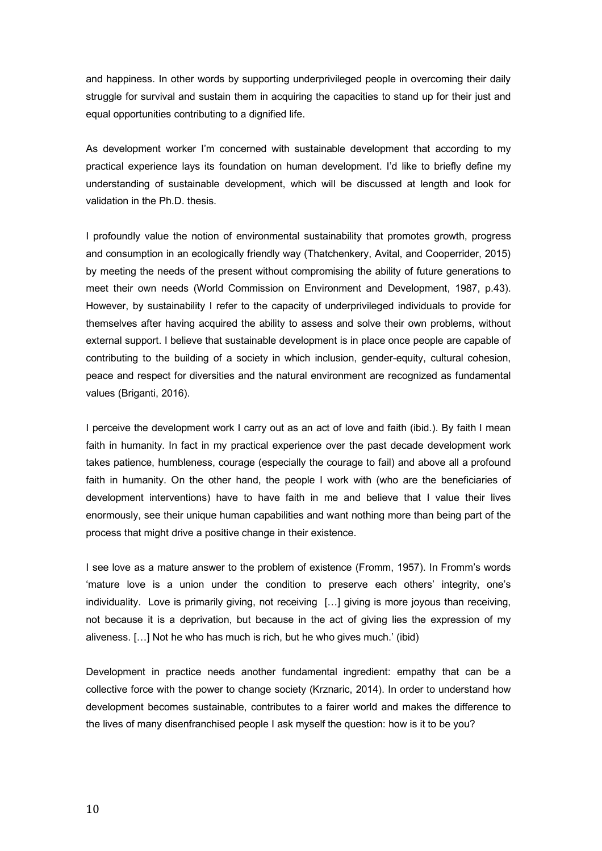and happiness. In other words by supporting underprivileged people in overcoming their daily struggle for survival and sustain them in acquiring the capacities to stand up for their just and equal opportunities contributing to a dignified life.

As development worker I'm concerned with sustainable development that according to my practical experience lays its foundation on human development. I'd like to briefly define my understanding of sustainable development, which will be discussed at length and look for validation in the Ph.D. thesis.

I profoundly value the notion of environmental sustainability that promotes growth, progress and consumption in an ecologically friendly way (Thatchenkery, Avital, and Cooperrider, 2015) by meeting the needs of the present without compromising the ability of future generations to meet their own needs (World Commission on Environment and Development, 1987, p.43). However, by sustainability I refer to the capacity of underprivileged individuals to provide for themselves after having acquired the ability to assess and solve their own problems, without external support. I believe that sustainable development is in place once people are capable of contributing to the building of a society in which inclusion, gender-equity, cultural cohesion, peace and respect for diversities and the natural environment are recognized as fundamental values (Briganti, 2016).

I perceive the development work I carry out as an act of love and faith (ibid.). By faith I mean faith in humanity. In fact in my practical experience over the past decade development work takes patience, humbleness, courage (especially the courage to fail) and above all a profound faith in humanity. On the other hand, the people I work with (who are the beneficiaries of development interventions) have to have faith in me and believe that I value their lives enormously, see their unique human capabilities and want nothing more than being part of the process that might drive a positive change in their existence.

I see love as a mature answer to the problem of existence (Fromm, 1957). In Fromm's words 'mature love is a union under the condition to preserve each others' integrity, one's individuality. Love is primarily giving, not receiving […] giving is more joyous than receiving, not because it is a deprivation, but because in the act of giving lies the expression of my aliveness. […] Not he who has much is rich, but he who gives much.' (ibid)

Development in practice needs another fundamental ingredient: empathy that can be a collective force with the power to change society (Krznaric, 2014). In order to understand how development becomes sustainable, contributes to a fairer world and makes the difference to the lives of many disenfranchised people I ask myself the question: how is it to be you?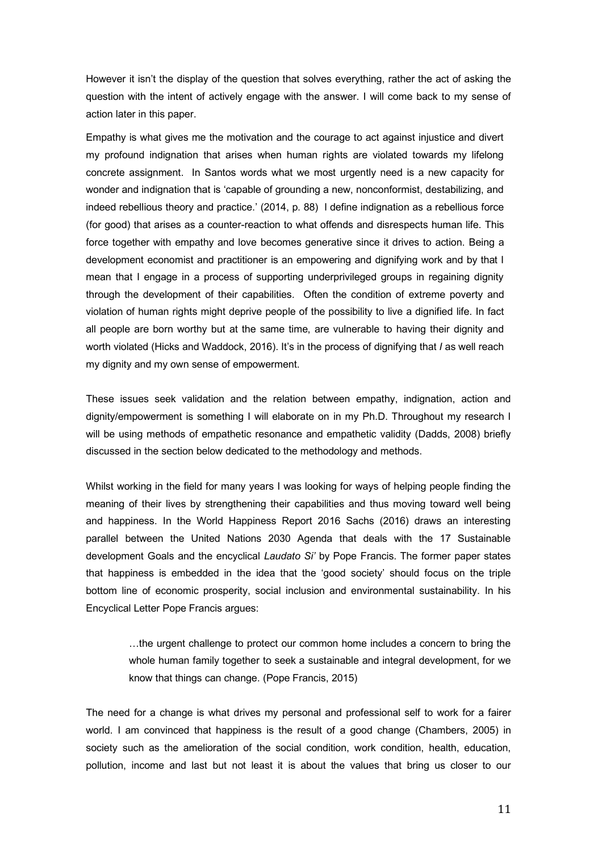However it isn't the display of the question that solves everything, rather the act of asking the question with the intent of actively engage with the answer. I will come back to my sense of action later in this paper.

Empathy is what gives me the motivation and the courage to act against injustice and divert my profound indignation that arises when human rights are violated towards my lifelong concrete assignment. In Santos words what we most urgently need is a new capacity for wonder and indignation that is 'capable of grounding a new, nonconformist, destabilizing, and indeed rebellious theory and practice.' (2014, p. 88) I define indignation as a rebellious force (for good) that arises as a counter-reaction to what offends and disrespects human life. This force together with empathy and love becomes generative since it drives to action. Being a development economist and practitioner is an empowering and dignifying work and by that I mean that I engage in a process of supporting underprivileged groups in regaining dignity through the development of their capabilities. Often the condition of extreme poverty and violation of human rights might deprive people of the possibility to live a dignified life. In fact all people are born worthy but at the same time, are vulnerable to having their dignity and worth violated (Hicks and Waddock, 2016). It's in the process of dignifying that *I* as well reach my dignity and my own sense of empowerment.

These issues seek validation and the relation between empathy, indignation, action and dignity/empowerment is something I will elaborate on in my Ph.D. Throughout my research I will be using methods of empathetic resonance and empathetic validity (Dadds, 2008) briefly discussed in the section below dedicated to the methodology and methods.

Whilst working in the field for many years I was looking for ways of helping people finding the meaning of their lives by strengthening their capabilities and thus moving toward well being and happiness. In the World Happiness Report 2016 Sachs (2016) draws an interesting parallel between the United Nations 2030 Agenda that deals with the 17 Sustainable development Goals and the encyclical *Laudato Si'* by Pope Francis. The former paper states that happiness is embedded in the idea that the 'good society' should focus on the triple bottom line of economic prosperity, social inclusion and environmental sustainability. In his Encyclical Letter Pope Francis argues:

…the urgent challenge to protect our common home includes a concern to bring the whole human family together to seek a sustainable and integral development, for we know that things can change. (Pope Francis, 2015)

The need for a change is what drives my personal and professional self to work for a fairer world. I am convinced that happiness is the result of a good change (Chambers, 2005) in society such as the amelioration of the social condition, work condition, health, education, pollution, income and last but not least it is about the values that bring us closer to our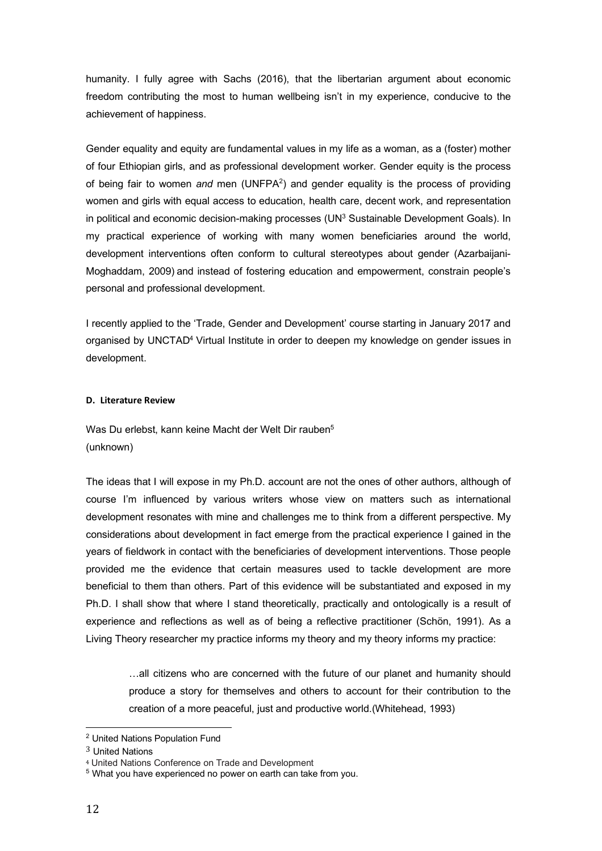humanity. I fully agree with Sachs (2016), that the libertarian argument about economic freedom contributing the most to human wellbeing isn't in my experience, conducive to the achievement of happiness.

Gender equality and equity are fundamental values in my life as a woman, as a (foster) mother of four Ethiopian girls, and as professional development worker. Gender equity is the process of being fair to women *and* men (UNFPA2 ) and gender equality is the process of providing women and girls with equal access to education, health care, decent work, and representation in political and economic decision-making processes (UN<sup>3</sup> Sustainable Development Goals). In my practical experience of working with many women beneficiaries around the world, development interventions often conform to cultural stereotypes about gender (Azarbaijani-Moghaddam, 2009) and instead of fostering education and empowerment, constrain people's personal and professional development.

I recently applied to the 'Trade, Gender and Development' course starting in January 2017 and organised by UNCTAD<sup>4</sup> Virtual Institute in order to deepen my knowledge on gender issues in development.

# **D. Literature Review**

Was Du erlebst, kann keine Macht der Welt Dir rauben<sup>5</sup> (unknown)

The ideas that I will expose in my Ph.D. account are not the ones of other authors, although of course I'm influenced by various writers whose view on matters such as international development resonates with mine and challenges me to think from a different perspective. My considerations about development in fact emerge from the practical experience I gained in the years of fieldwork in contact with the beneficiaries of development interventions. Those people provided me the evidence that certain measures used to tackle development are more beneficial to them than others. Part of this evidence will be substantiated and exposed in my Ph.D. I shall show that where I stand theoretically, practically and ontologically is a result of experience and reflections as well as of being a reflective practitioner (Schön, 1991). As a Living Theory researcher my practice informs my theory and my theory informs my practice:

…all citizens who are concerned with the future of our planet and humanity should produce a story for themselves and others to account for their contribution to the creation of a more peaceful, just and productive world.(Whitehead, 1993)

 <sup>2</sup> United Nations Population Fund

<sup>3</sup> United Nations

<sup>4</sup> United Nations Conference on Trade and Development

<sup>&</sup>lt;sup>5</sup> What you have experienced no power on earth can take from you.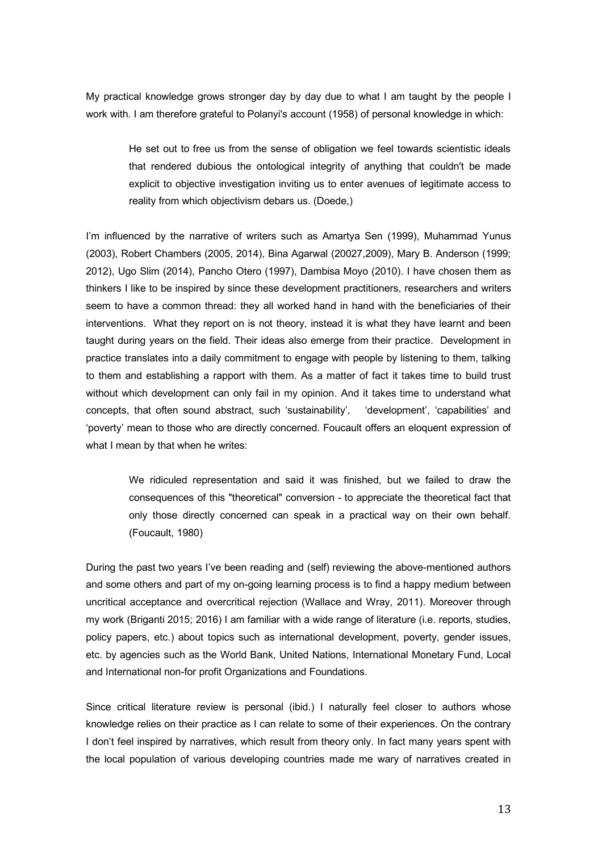My practical knowledge grows stronger day by day due to what I am taught by the people I work with. I am therefore grateful to Polanyi's account (1958) of personal knowledge in which:

He set out to free us from the sense of obligation we feel towards scientistic ideals that rendered dubious the ontological integrity of anything that couldn't be made explicit to objective investigation inviting us to enter avenues of legitimate access to reality from which objectivism debars us. (Doede,)

I'm influenced by the narrative of writers such as Amartya Sen (1999), Muhammad Yunus (2003), Robert Chambers (2005, 2014), Bina Agarwal (20027,2009), Mary B. Anderson (1999; 2012), Ugo Slim (2014), Pancho Otero (1997), Dambisa Moyo (2010). I have chosen them as thinkers I like to be inspired by since these development practitioners, researchers and writers seem to have a common thread: they all worked hand in hand with the beneficiaries of their interventions. What they report on is not theory, instead it is what they have learnt and been taught during years on the field. Their ideas also emerge from their practice. Development in practice translates into a daily commitment to engage with people by listening to them, talking to them and establishing a rapport with them. As a matter of fact it takes time to build trust without which development can only fail in my opinion. And it takes time to understand what concepts, that often sound abstract, such 'sustainability', 'development', 'capabilities' and 'poverty' mean to those who are directly concerned. Foucault offers an eloquent expression of what I mean by that when he writes:

We ridiculed representation and said it was finished, but we failed to draw the consequences of this "theoretical" conversion - to appreciate the theoretical fact that only those directly concerned can speak in a practical way on their own behalf. (Foucault, 1980)

During the past two years I've been reading and (self) reviewing the above-mentioned authors and some others and part of my on-going learning process is to find a happy medium between uncritical acceptance and overcritical rejection (Wallace and Wray, 2011). Moreover through my work (Briganti 2015; 2016) I am familiar with a wide range of literature (i.e. reports, studies, policy papers, etc.) about topics such as international development, poverty, gender issues, etc. by agencies such as the World Bank, United Nations, International Monetary Fund, Local and International non-for profit Organizations and Foundations.

Since critical literature review is personal (ibid.) I naturally feel closer to authors whose knowledge relies on their practice as I can relate to some of their experiences. On the contrary I don't feel inspired by narratives, which result from theory only. In fact many years spent with the local population of various developing countries made me wary of narratives created in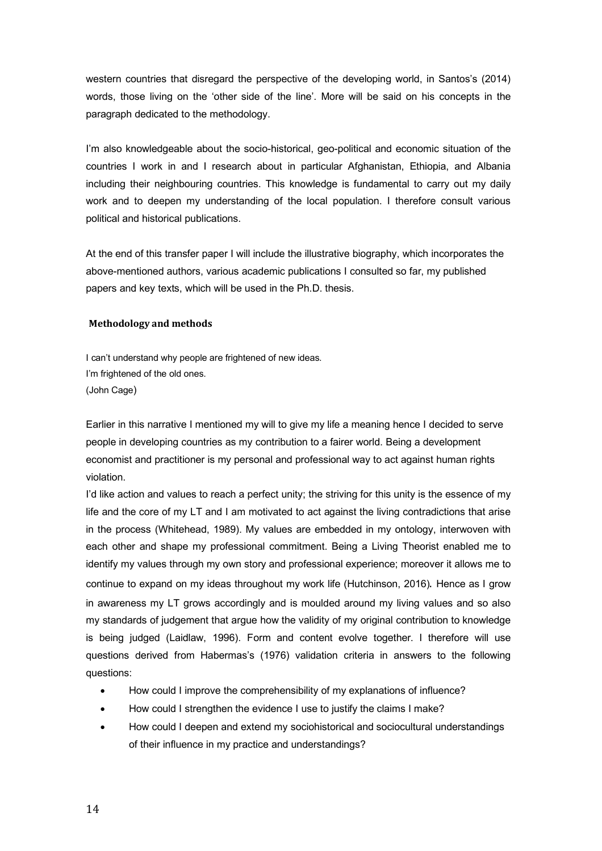western countries that disregard the perspective of the developing world, in Santos's (2014) words, those living on the 'other side of the line'. More will be said on his concepts in the paragraph dedicated to the methodology.

I'm also knowledgeable about the socio-historical, geo-political and economic situation of the countries I work in and I research about in particular Afghanistan, Ethiopia, and Albania including their neighbouring countries. This knowledge is fundamental to carry out my daily work and to deepen my understanding of the local population. I therefore consult various political and historical publications.

At the end of this transfer paper I will include the illustrative biography, which incorporates the above-mentioned authors, various academic publications I consulted so far, my published papers and key texts, which will be used in the Ph.D. thesis.

# **Methodology and methods**

I can't understand why people are frightened of new ideas. I'm frightened of the old ones. (John Cage)

Earlier in this narrative I mentioned my will to give my life a meaning hence I decided to serve people in developing countries as my contribution to a fairer world. Being a development economist and practitioner is my personal and professional way to act against human rights violation.

I'd like action and values to reach a perfect unity; the striving for this unity is the essence of my life and the core of my LT and I am motivated to act against the living contradictions that arise in the process (Whitehead, 1989). My values are embedded in my ontology, interwoven with each other and shape my professional commitment. Being a Living Theorist enabled me to identify my values through my own story and professional experience; moreover it allows me to continue to expand on my ideas throughout my work life (Hutchinson, 2016). Hence as I grow in awareness my LT grows accordingly and is moulded around my living values and so also my standards of judgement that argue how the validity of my original contribution to knowledge is being judged (Laidlaw, 1996). Form and content evolve together. I therefore will use questions derived from Habermas's (1976) validation criteria in answers to the following questions:

- How could I improve the comprehensibility of my explanations of influence?
- How could I strengthen the evidence I use to justify the claims I make?
- How could I deepen and extend my sociohistorical and sociocultural understandings of their influence in my practice and understandings?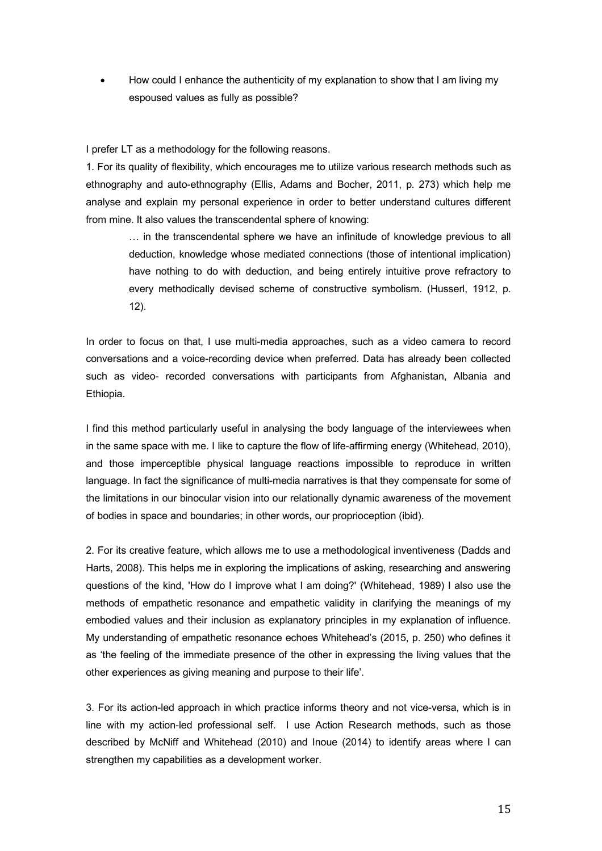• How could I enhance the authenticity of my explanation to show that I am living my espoused values as fully as possible?

I prefer LT as a methodology for the following reasons.

1. For its quality of flexibility, which encourages me to utilize various research methods such as ethnography and auto-ethnography (Ellis, Adams and Bocher, 2011, p. 273) which help me analyse and explain my personal experience in order to better understand cultures different from mine. It also values the transcendental sphere of knowing:

… in the transcendental sphere we have an infinitude of knowledge previous to all deduction, knowledge whose mediated connections (those of intentional implication) have nothing to do with deduction, and being entirely intuitive prove refractory to every methodically devised scheme of constructive symbolism. (Husserl, 1912, p. 12).

In order to focus on that, I use multi-media approaches, such as a video camera to record conversations and a voice-recording device when preferred. Data has already been collected such as video- recorded conversations with participants from Afghanistan, Albania and Ethiopia.

I find this method particularly useful in analysing the body language of the interviewees when in the same space with me. I like to capture the flow of life-affirming energy (Whitehead, 2010), and those imperceptible physical language reactions impossible to reproduce in written language. In fact the significance of multi-media narratives is that they compensate for some of the limitations in our binocular vision into our relationally dynamic awareness of the movement of bodies in space and boundaries; in other words**,** our proprioception (ibid).

2. For its creative feature, which allows me to use a methodological inventiveness (Dadds and Harts, 2008). This helps me in exploring the implications of asking, researching and answering questions of the kind, 'How do I improve what I am doing?' (Whitehead, 1989) I also use the methods of empathetic resonance and empathetic validity in clarifying the meanings of my embodied values and their inclusion as explanatory principles in my explanation of influence. My understanding of empathetic resonance echoes Whitehead's (2015, p. 250) who defines it as 'the feeling of the immediate presence of the other in expressing the living values that the other experiences as giving meaning and purpose to their life'.

3. For its action-led approach in which practice informs theory and not vice-versa, which is in line with my action-led professional self. I use Action Research methods, such as those described by McNiff and Whitehead (2010) and Inoue (2014) to identify areas where I can strengthen my capabilities as a development worker.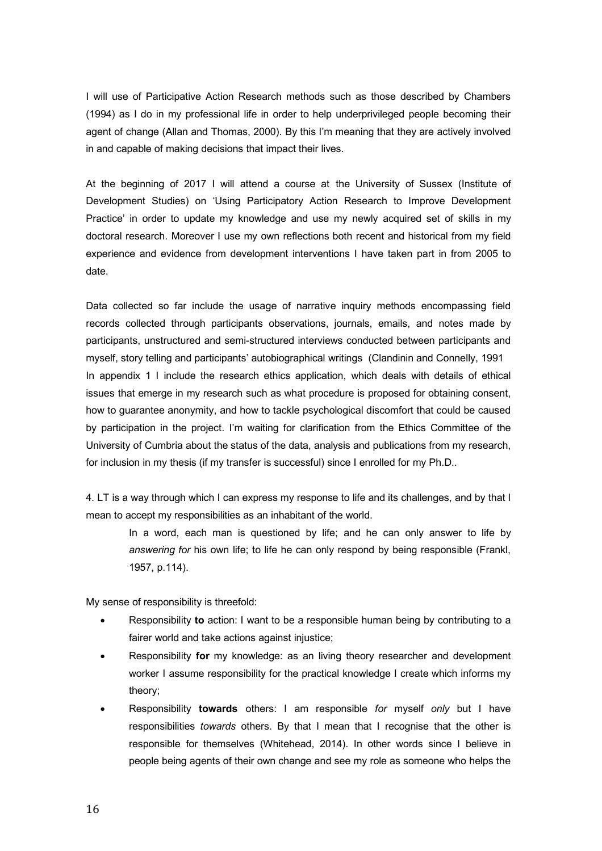I will use of Participative Action Research methods such as those described by Chambers (1994) as I do in my professional life in order to help underprivileged people becoming their agent of change (Allan and Thomas, 2000). By this I'm meaning that they are actively involved in and capable of making decisions that impact their lives.

At the beginning of 2017 I will attend a course at the University of Sussex (Institute of Development Studies) on 'Using Participatory Action Research to Improve Development Practice' in order to update my knowledge and use my newly acquired set of skills in my doctoral research. Moreover I use my own reflections both recent and historical from my field experience and evidence from development interventions I have taken part in from 2005 to date.

Data collected so far include the usage of narrative inquiry methods encompassing field records collected through participants observations, journals, emails, and notes made by participants, unstructured and semi-structured interviews conducted between participants and myself, story telling and participants' autobiographical writings (Clandinin and Connelly, 1991 In appendix 1 I include the research ethics application, which deals with details of ethical issues that emerge in my research such as what procedure is proposed for obtaining consent, how to guarantee anonymity, and how to tackle psychological discomfort that could be caused by participation in the project. I'm waiting for clarification from the Ethics Committee of the University of Cumbria about the status of the data, analysis and publications from my research, for inclusion in my thesis (if my transfer is successful) since I enrolled for my Ph.D..

4. LT is a way through which I can express my response to life and its challenges, and by that I mean to accept my responsibilities as an inhabitant of the world.

In a word, each man is questioned by life; and he can only answer to life by *answering for* his own life; to life he can only respond by being responsible (Frankl, 1957, p.114).

My sense of responsibility is threefold:

- Responsibility **to** action: I want to be a responsible human being by contributing to a fairer world and take actions against injustice;
- Responsibility **for** my knowledge: as an living theory researcher and development worker I assume responsibility for the practical knowledge I create which informs my theory;
- Responsibility **towards** others: I am responsible *for* myself *only* but I have responsibilities *towards* others. By that I mean that I recognise that the other is responsible for themselves (Whitehead, 2014). In other words since I believe in people being agents of their own change and see my role as someone who helps the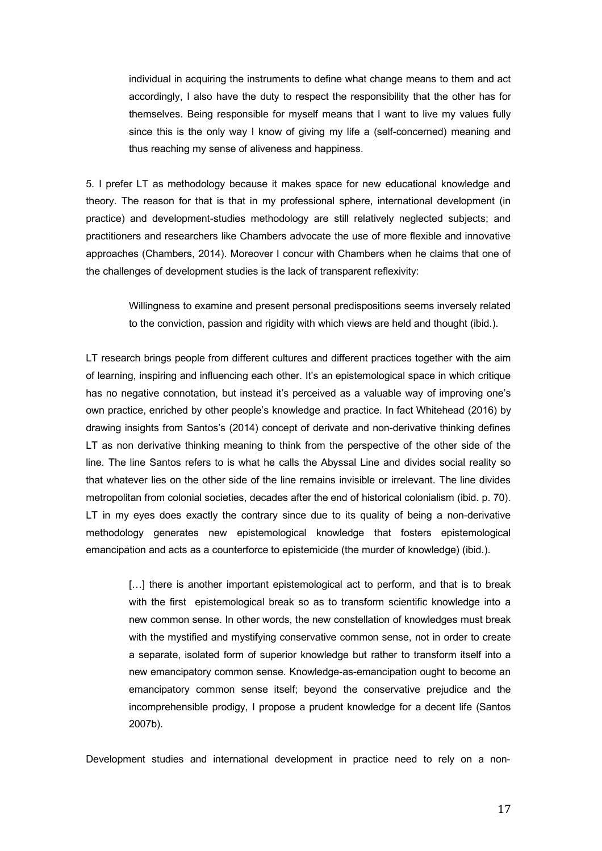individual in acquiring the instruments to define what change means to them and act accordingly, I also have the duty to respect the responsibility that the other has for themselves. Being responsible for myself means that I want to live my values fully since this is the only way I know of giving my life a (self-concerned) meaning and thus reaching my sense of aliveness and happiness.

5. I prefer LT as methodology because it makes space for new educational knowledge and theory. The reason for that is that in my professional sphere, international development (in practice) and development-studies methodology are still relatively neglected subjects; and practitioners and researchers like Chambers advocate the use of more flexible and innovative approaches (Chambers, 2014). Moreover I concur with Chambers when he claims that one of the challenges of development studies is the lack of transparent reflexivity:

Willingness to examine and present personal predispositions seems inversely related to the conviction, passion and rigidity with which views are held and thought (ibid.).

LT research brings people from different cultures and different practices together with the aim of learning, inspiring and influencing each other. It's an epistemological space in which critique has no negative connotation, but instead it's perceived as a valuable way of improving one's own practice, enriched by other people's knowledge and practice. In fact Whitehead (2016) by drawing insights from Santos's (2014) concept of derivate and non-derivative thinking defines LT as non derivative thinking meaning to think from the perspective of the other side of the line. The line Santos refers to is what he calls the Abyssal Line and divides social reality so that whatever lies on the other side of the line remains invisible or irrelevant. The line divides metropolitan from colonial societies, decades after the end of historical colonialism (ibid. p. 70). LT in my eyes does exactly the contrary since due to its quality of being a non-derivative methodology generates new epistemological knowledge that fosters epistemological emancipation and acts as a counterforce to epistemicide (the murder of knowledge) (ibid.).

[...] there is another important epistemological act to perform, and that is to break with the first epistemological break so as to transform scientific knowledge into a new common sense. In other words, the new constellation of knowledges must break with the mystified and mystifying conservative common sense, not in order to create a separate, isolated form of superior knowledge but rather to transform itself into a new emancipatory common sense. Knowledge-as-emancipation ought to become an emancipatory common sense itself; beyond the conservative prejudice and the incomprehensible prodigy, I propose a prudent knowledge for a decent life (Santos 2007b).

Development studies and international development in practice need to rely on a non-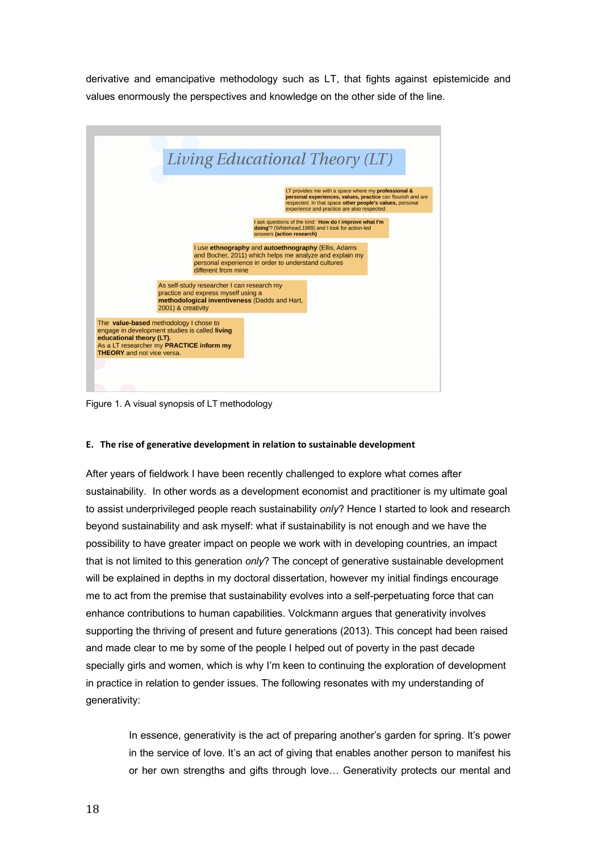derivative and emancipative methodology such as LT, that fights against epistemicide and values enormously the perspectives and knowledge on the other side of the line.



Figure 1. A visual synopsis of LT methodology

# **E. The rise of generative development in relation to sustainable development**

After years of fieldwork I have been recently challenged to explore what comes after sustainability. In other words as a development economist and practitioner is my ultimate goal to assist underprivileged people reach sustainability *only*? Hence I started to look and research beyond sustainability and ask myself: what if sustainability is not enough and we have the possibility to have greater impact on people we work with in developing countries, an impact that is not limited to this generation *only*? The concept of generative sustainable development will be explained in depths in my doctoral dissertation, however my initial findings encourage me to act from the premise that sustainability evolves into a self-perpetuating force that can enhance contributions to human capabilities. Volckmann argues that generativity involves supporting the thriving of present and future generations (2013). This concept had been raised and made clear to me by some of the people I helped out of poverty in the past decade specially girls and women, which is why I'm keen to continuing the exploration of development in practice in relation to gender issues. The following resonates with my understanding of generativity:

> In essence, generativity is the act of preparing another's garden for spring. It's power in the service of love. It's an act of giving that enables another person to manifest his or her own strengths and gifts through love… Generativity protects our mental and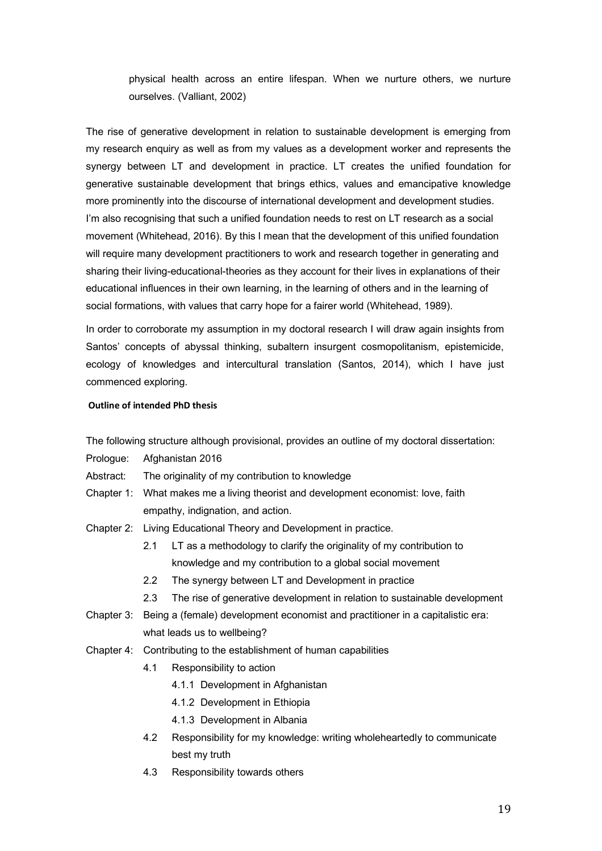physical health across an entire lifespan. When we nurture others, we nurture ourselves. (Valliant, 2002)

The rise of generative development in relation to sustainable development is emerging from my research enquiry as well as from my values as a development worker and represents the synergy between LT and development in practice. LT creates the unified foundation for generative sustainable development that brings ethics, values and emancipative knowledge more prominently into the discourse of international development and development studies. I'm also recognising that such a unified foundation needs to rest on LT research as a social movement (Whitehead, 2016). By this I mean that the development of this unified foundation will require many development practitioners to work and research together in generating and sharing their living-educational-theories as they account for their lives in explanations of their educational influences in their own learning, in the learning of others and in the learning of social formations, with values that carry hope for a fairer world (Whitehead, 1989).

In order to corroborate my assumption in my doctoral research I will draw again insights from Santos' concepts of abyssal thinking, subaltern insurgent cosmopolitanism, epistemicide, ecology of knowledges and intercultural translation (Santos, 2014), which I have just commenced exploring.

# **Outline of intended PhD thesis**

The following structure although provisional, provides an outline of my doctoral dissertation:

- Prologue: Afghanistan 2016
- Abstract: The originality of my contribution to knowledge
- Chapter 1: What makes me a living theorist and development economist: love, faith empathy, indignation, and action.
- Chapter 2: Living Educational Theory and Development in practice.
	- 2.1 LT as a methodology to clarify the originality of my contribution to knowledge and my contribution to a global social movement
	- 2.2 The synergy between LT and Development in practice
	- 2.3 The rise of generative development in relation to sustainable development
- Chapter 3: Being a (female) development economist and practitioner in a capitalistic era: what leads us to wellbeing?
- Chapter 4: Contributing to the establishment of human capabilities
	- 4.1 Responsibility to action
		- 4.1.1 Development in Afghanistan
		- 4.1.2 Development in Ethiopia
		- 4.1.3 Development in Albania
	- 4.2 Responsibility for my knowledge: writing wholeheartedly to communicate best my truth
	- 4.3 Responsibility towards others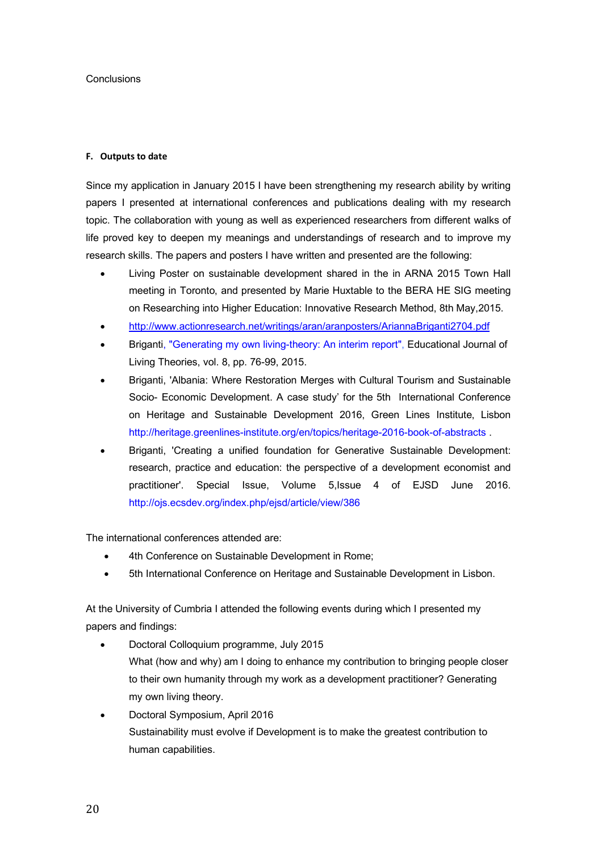# **Conclusions**

# **F. Outputs to date**

Since my application in January 2015 I have been strengthening my research ability by writing papers I presented at international conferences and publications dealing with my research topic. The collaboration with young as well as experienced researchers from different walks of life proved key to deepen my meanings and understandings of research and to improve my research skills. The papers and posters I have written and presented are the following:

- Living Poster on sustainable development shared in the in ARNA 2015 Town Hall meeting in Toronto, and presented by Marie Huxtable to the BERA HE SIG meeting on Researching into Higher Education: Innovative Research Method, 8th May,2015.
- http://www.actionresearch.net/writings/aran/aranposters/AriannaBriganti2704.pdf
- Briganti, "Generating my own living-theory: An interim report", Educational Journal of Living Theories, vol. 8, pp. 76-99, 2015.
- Briganti, 'Albania: Where Restoration Merges with Cultural Tourism and Sustainable Socio- Economic Development. A case study' for the 5th International Conference on Heritage and Sustainable Development 2016, Green Lines Institute, Lisbon http://heritage.greenlines-institute.org/en/topics/heritage-2016-book-of-abstracts .
- Briganti, 'Creating a unified foundation for Generative Sustainable Development: research, practice and education: the perspective of a development economist and practitioner'. Special Issue, Volume 5,Issue 4 of EJSD June 2016. http://ojs.ecsdev.org/index.php/ejsd/article/view/386

The international conferences attended are:

- 4th Conference on Sustainable Development in Rome;
- 5th International Conference on Heritage and Sustainable Development in Lisbon.

At the University of Cumbria I attended the following events during which I presented my papers and findings:

- Doctoral Colloquium programme, July 2015 What (how and why) am I doing to enhance my contribution to bringing people closer to their own humanity through my work as a development practitioner? Generating my own living theory.
- Doctoral Symposium, April 2016 Sustainability must evolve if Development is to make the greatest contribution to human capabilities.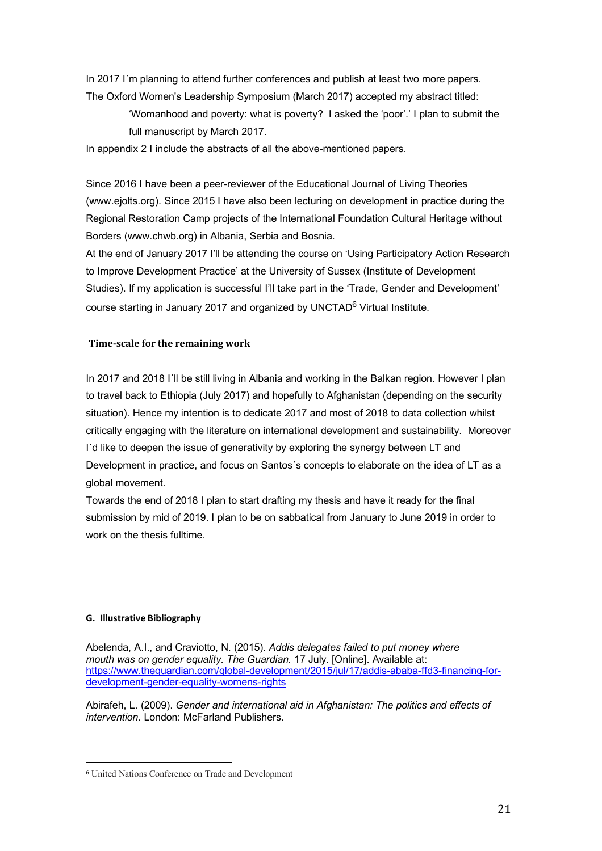In 2017 I´m planning to attend further conferences and publish at least two more papers. The Oxford Women's Leadership Symposium (March 2017) accepted my abstract titled:

> 'Womanhood and poverty: what is poverty? I asked the 'poor'.' I plan to submit the full manuscript by March 2017.

In appendix 2 I include the abstracts of all the above-mentioned papers.

Since 2016 I have been a peer-reviewer of the Educational Journal of Living Theories (www.ejolts.org). Since 2015 I have also been lecturing on development in practice during the Regional Restoration Camp projects of the International Foundation Cultural Heritage without Borders (www.chwb.org) in Albania, Serbia and Bosnia.

At the end of January 2017 I'll be attending the course on 'Using Participatory Action Research to Improve Development Practice' at the University of Sussex (Institute of Development Studies). If my application is successful I'll take part in the 'Trade, Gender and Development' course starting in January 2017 and organized by UNCTAD<sup>6</sup> Virtual Institute.

# **Time-scale for the remaining work**

In 2017 and 2018 I´ll be still living in Albania and working in the Balkan region. However I plan to travel back to Ethiopia (July 2017) and hopefully to Afghanistan (depending on the security situation). Hence my intention is to dedicate 2017 and most of 2018 to data collection whilst critically engaging with the literature on international development and sustainability. Moreover I´d like to deepen the issue of generativity by exploring the synergy between LT and Development in practice, and focus on Santos´s concepts to elaborate on the idea of LT as a global movement.

Towards the end of 2018 I plan to start drafting my thesis and have it ready for the final submission by mid of 2019. I plan to be on sabbatical from January to June 2019 in order to work on the thesis fulltime.

# **G. Illustrative Bibliography**

Abelenda, A.I., and Craviotto, N. (2015)*. Addis delegates failed to put money where mouth was on gender equality. The Guardian.* 17 July. [Online]. Available at: https://www.theguardian.com/global-development/2015/jul/17/addis-ababa-ffd3-financing-fordevelopment-gender-equality-womens-rights

Abirafeh, L. (2009). *Gender and international aid in Afghanistan: The politics and effects of intervention.* London: McFarland Publishers.

 

<sup>6</sup> United Nations Conference on Trade and Development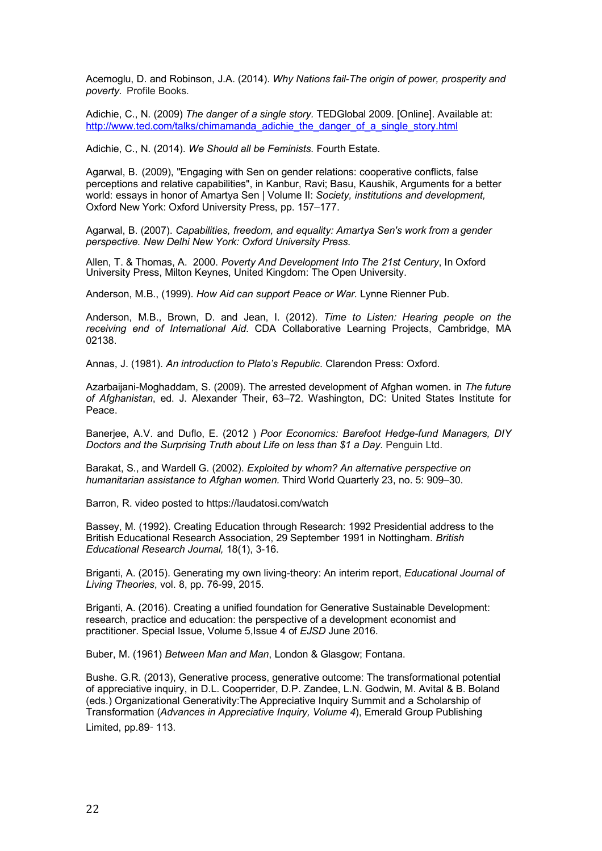Acemoglu, D. and Robinson, J.A. (2014). *Why Nations fail*-*The origin of power, prosperity and poverty.* Profile Books.

Adichie, C., N. (2009) *The danger of a single story.* TEDGlobal 2009. [Online]. Available at: http://www.ted.com/talks/chimamanda\_adichie\_the\_danger\_of\_a\_single\_story.html

Adichie, C., N. (2014). *We Should all be Feminists.* Fourth Estate.

Agarwal, B. (2009), "Engaging with Sen on gender relations: cooperative conflicts, false perceptions and relative capabilities", in Kanbur, Ravi; Basu, Kaushik, Arguments for a better world: essays in honor of Amartya Sen | Volume II: *Society, institutions and development,* Oxford New York: Oxford University Press, pp. 157–177.

Agarwal, B. (2007). *Capabilities, freedom, and equality: Amartya Sen's work from a gender perspective. New Delhi New York: Oxford University Press.*

Allen, T. & Thomas, A. 2000. *Poverty And Development Into The 21st Century*, In Oxford University Press, Milton Keynes, United Kingdom: The Open University.

Anderson, M.B., (1999). *How Aid can support Peace or War.* Lynne Rienner Pub.

Anderson, M.B., Brown, D. and Jean, I. (2012). *Time to Listen: Hearing people on the receiving end of International Aid*. CDA Collaborative Learning Projects, Cambridge, MA 02138.

Annas, J. (1981). *An introduction to Plato's Republic*. Clarendon Press: Oxford.

Azarbaijani-Moghaddam, S. (2009). The arrested development of Afghan women. in *The future of Afghanistan*, ed. J. Alexander Their, 63–72. Washington, DC: United States Institute for Peace.

Banerjee, A.V. and Duflo, E. (2012 ) *Poor Economics: Barefoot Hedge-fund Managers, DIY Doctors and the Surprising Truth about Life on less than \$1 a Day. Penguin Ltd.* 

Barakat, S., and Wardell G. (2002). *Exploited by whom? An alternative perspective on humanitarian assistance to Afghan women.* Third World Quarterly 23, no. 5: 909–30.

Barron, R. video posted to https://laudatosi.com/watch

Bassey, M. (1992). Creating Education through Research: 1992 Presidential address to the British Educational Research Association, 29 September 1991 in Nottingham. *British Educational Research Journal,* 18(1), 3-16.

Briganti, A. (2015). Generating my own living-theory: An interim report, *Educational Journal of Living Theories*, vol. 8, pp. 76-99, 2015.

Briganti, A. (2016). Creating a unified foundation for Generative Sustainable Development: research, practice and education: the perspective of a development economist and practitioner. Special Issue, Volume 5,Issue 4 of *EJSD* June 2016.

Buber, M. (1961) *Between Man and Man*, London & Glasgow; Fontana.

Bushe. G.R. (2013), Generative process, generative outcome: The transformational potential of appreciative inquiry, in D.L. Cooperrider, D.P. Zandee, L.N. Godwin, M. Avital & B. Boland (eds.) Organizational Generativity:The Appreciative Inquiry Summit and a Scholarship of Transformation (*Advances in Appreciative Inquiry, Volume 4*), Emerald Group Publishing Limited, pp.89- 113.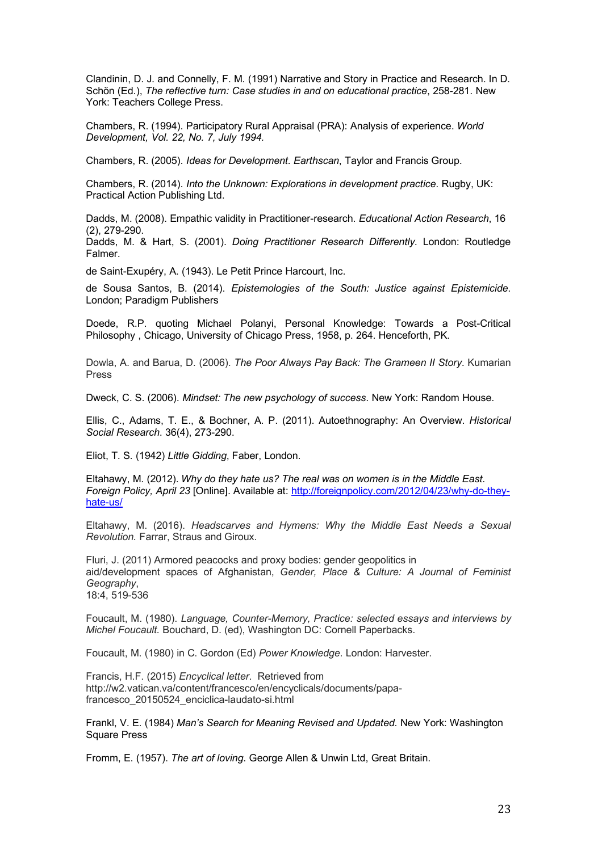Clandinin, D. J. and Connelly, F. M. (1991) Narrative and Story in Practice and Research. In D. Schön (Ed.), *The reflective turn: Case studies in and on educational practice*, 258-281. New York: Teachers College Press.

Chambers, R. (1994). Participatory Rural Appraisal (PRA): Analysis of experience. *World Development, Vol. 22, No. 7, July 1994.*

Chambers, R. (2005). *Ideas for Development. Earthscan*, Taylor and Francis Group.

Chambers, R. (2014). *Into the Unknown: Explorations in development practice*. Rugby, UK: Practical Action Publishing Ltd.

Dadds, M. (2008). Empathic validity in Practitioner-research. *Educational Action Research*, 16 (2), 279-290.

Dadds, M. & Hart, S. (2001). *Doing Practitioner Research Differently*. London: Routledge Falmer.

de Saint-Exupéry, A. (1943). Le Petit Prince Harcourt, Inc.

de Sousa Santos, B. (2014). *Epistemologies of the South: Justice against Epistemicide*. London; Paradigm Publishers

Doede, R.P. quoting Michael Polanyi, Personal Knowledge: Towards a Post-Critical Philosophy , Chicago, University of Chicago Press, 1958, p. 264. Henceforth, PK.

Dowla, A. and Barua, D. (2006). *The Poor Always Pay Back: The Grameen II Story*. Kumarian Press

Dweck, C. S. (2006). *Mindset: The new psychology of success*. New York: Random House.

Ellis, C., Adams, T. E., & Bochner, A. P. (2011). Autoethnography: An Overview. *Historical Social Research*. 36(4), 273-290.

Eliot, T. S. (1942) *Little Gidding*, Faber, London.

Eltahawy, M. (2012). *Why do they hate us? The real was on women is in the Middle East. Foreign Policy, April 23* [Online]. Available at: http://foreignpolicy.com/2012/04/23/why-do-theyhate-us/

Eltahawy, M. (2016). *Headscarves and Hymens: Why the Middle East Needs a Sexual Revolution.* Farrar, Straus and Giroux.

Fluri, J. (2011) Armored peacocks and proxy bodies: gender geopolitics in aid/development spaces of Afghanistan, *Gender, Place & Culture: A Journal of Feminist Geography*, 18:4, 519-536

Foucault, M. (1980). *Language, Counter-Memory, Practice: selected essays and interviews by Michel Foucault.* Bouchard, D. (ed), Washington DC: Cornell Paperbacks.

Foucault, M. (1980) in C. Gordon (Ed) *Power Knowledge*. London: Harvester.

Francis, H.F. (2015) *Encyclical letter*. Retrieved from http://w2.vatican.va/content/francesco/en/encyclicals/documents/papafrancesco\_20150524\_enciclica-laudato-si.html

Frankl, V. E. (1984) *Man's Search for Meaning Revised and Updated.* New York: Washington Square Press

Fromm, E. (1957). *The art of loving*. George Allen & Unwin Ltd, Great Britain.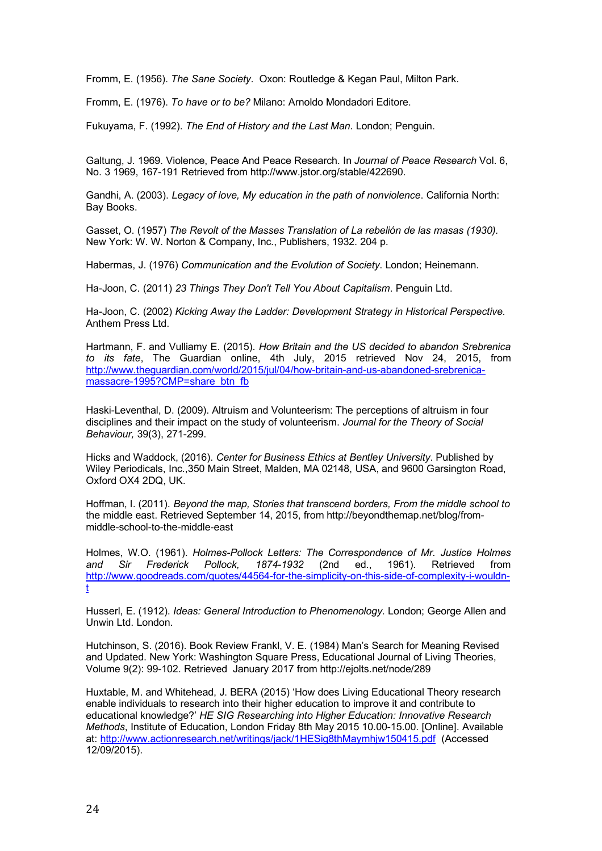Fromm, E. (1956). *The Sane Society*. Oxon: Routledge & Kegan Paul, Milton Park.

Fromm, E. (1976). *To have or to be?* Milano: Arnoldo Mondadori Editore.

Fukuyama, F. (1992). *The End of History and the Last Man*. London; Penguin.

Galtung, J. 1969. Violence, Peace And Peace Research. In *Journal of Peace Research* Vol. 6, No. 3 1969, 167-191 Retrieved from http://www.jstor.org/stable/422690.

Gandhi, A. (2003). *Legacy of love, My education in the path of nonviolence*. California North: Bay Books.

Gasset, O. (1957) *The Revolt of the Masses Translation of La rebelión de las masas (1930).* New York: W. W. Norton & Company, Inc., Publishers, 1932. 204 p.

Habermas, J. (1976) *Communication and the Evolution of Society*. London; Heinemann.

Ha-Joon, C. (2011) *23 Things They Don't Tell You About Capitalism*. Penguin Ltd.

Ha-Joon, C. (2002) *Kicking Away the Ladder: Development Strategy in Historical Perspective.* Anthem Press Ltd.

Hartmann, F. and Vulliamy E. (2015). *How Britain and the US decided to abandon Srebrenica to its fate*, The Guardian online, 4th July, 2015 retrieved Nov 24, 2015, from http://www.theguardian.com/world/2015/jul/04/how-britain-and-us-abandoned-srebrenicamassacre-1995?CMP=share\_btn\_fb

Haski-Leventhal, D. (2009). Altruism and Volunteerism: The perceptions of altruism in four disciplines and their impact on the study of volunteerism. *Journal for the Theory of Social Behaviour,* 39(3), 271-299.

Hicks and Waddock, (2016). *Center for Business Ethics at Bentley University*. Published by Wiley Periodicals, Inc.,350 Main Street, Malden, MA 02148, USA, and 9600 Garsington Road, Oxford OX4 2DQ, UK.

Hoffman, I. (2011). *Beyond the map, Stories that transcend borders, From the middle school to*  the middle east. Retrieved September 14, 2015, from http://beyondthemap.net/blog/frommiddle-school-to-the-middle-east

Holmes, W.O. (1961). *Holmes-Pollock Letters: The Correspondence of Mr. Justice Holmes and Sir Frederick Pollock, 1874-1932* (2nd ed., 1961). Retrieved from http://www.goodreads.com/quotes/44564-for-the-simplicity-on-this-side-of-complexity-i-wouldnt

Husserl, E. (1912). *Ideas: General Introduction to Phenomenology*. London; George Allen and Unwin Ltd. London.

Hutchinson, S. (2016). Book Review Frankl, V. E. (1984) Man's Search for Meaning Revised and Updated. New York: Washington Square Press, Educational Journal of Living Theories, Volume 9(2): 99-102. Retrieved January 2017 from http://ejolts.net/node/289

Huxtable, M. and Whitehead, J. BERA (2015) 'How does Living Educational Theory research enable individuals to research into their higher education to improve it and contribute to educational knowledge?' *HE SIG Researching into Higher Education: Innovative Research Methods*, Institute of Education, London Friday 8th May 2015 10.00-15.00. [Online]. Available at: http://www.actionresearch.net/writings/jack/1HESig8thMaymhjw150415.pdf (Accessed 12/09/2015).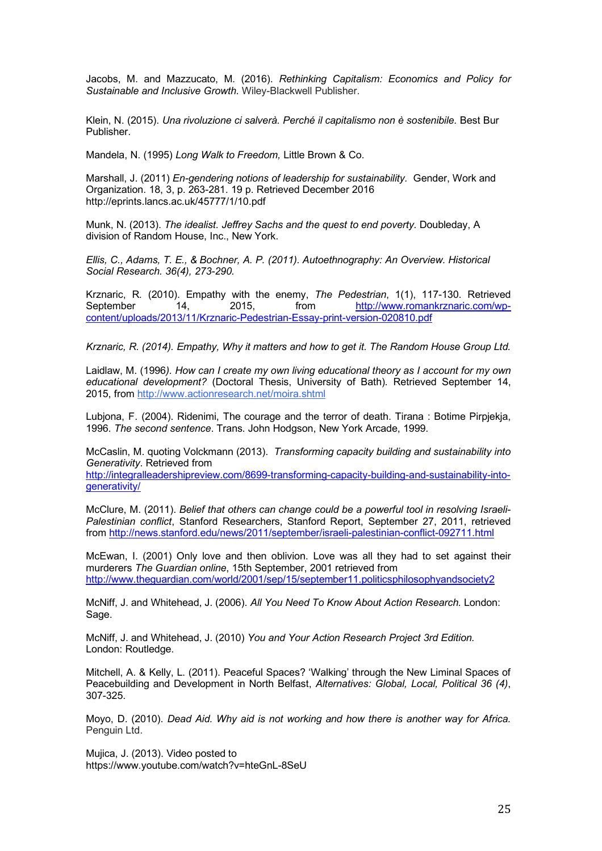Jacobs, M. and Mazzucato, M. (2016). *Rethinking Capitalism: Economics and Policy for Sustainable and Inclusive Growth.* Wiley-Blackwell Publisher.

Klein, N. (2015). *Una rivoluzione ci salverà. Perché il capitalismo non è sostenibile.* Best Bur Publisher.

Mandela, N. (1995) *Long Walk to Freedom,* Little Brown & Co.

Marshall, J. (2011) *En-gendering notions of leadership for sustainability.* Gender, Work and Organization. 18, 3, p. 263-281. 19 p. Retrieved December 2016 http://eprints.lancs.ac.uk/45777/1/10.pdf

Munk, N. (2013). *The idealist. Jeffrey Sachs and the quest to end poverty.* Doubleday, A division of Random House, Inc., New York.

*Ellis, C., Adams, T. E., & Bochner, A. P. (2011). Autoethnography: An Overview. Historical Social Research. 36(4), 273-290.*

Krznaric, R. (2010). Empathy with the enemy, *The Pedestrian*, 1(1), 117-130. Retrieved September 14, 2015, from http://www.romankrznaric.com/wpcontent/uploads/2013/11/Krznaric-Pedestrian-Essay-print-version-020810.pdf

*Krznaric, R. (2014). Empathy, Why it matters and how to get it. The Random House Group Ltd.*

Laidlaw, M. (1996*). How can I create my own living educational theory as I account for my own educational development?* (Doctoral Thesis, University of Bath). Retrieved September 14, 2015, from http://www.actionresearch.net/moira.shtml

Lubjona, F. (2004). Ridenimi, The courage and the terror of death. Tirana : Botime Pirpjekja, 1996. *The second sentence*. Trans. John Hodgson, New York Arcade, 1999.

McCaslin, M. quoting Volckmann (2013). *Transforming capacity building and sustainability into Generativity*. Retrieved from

http://integralleadershipreview.com/8699-transforming-capacity-building-and-sustainability-intogenerativity/

McClure, M. (2011). *Belief that others can change could be a powerful tool in resolving Israeli-Palestinian conflict*, Stanford Researchers, Stanford Report, September 27, 2011, retrieved from http://news.stanford.edu/news/2011/september/israeli-palestinian-conflict-092711.html

McEwan, I. (2001) Only love and then oblivion. Love was all they had to set against their murderers *The Guardian online*, 15th September, 2001 retrieved from http://www.theguardian.com/world/2001/sep/15/september11.politicsphilosophyandsociety2

McNiff, J. and Whitehead, J. (2006). *All You Need To Know About Action Research.* London: Sage.

McNiff, J. and Whitehead, J. (2010) *You and Your Action Research Project 3rd Edition.* London: Routledge.

Mitchell, A. & Kelly, L. (2011). Peaceful Spaces? 'Walking' through the New Liminal Spaces of Peacebuilding and Development in North Belfast, *Alternatives: Global, Local, Political 36 (4)*, 307-325.

Moyo, D. (2010). *Dead Aid. Why aid is not working and how there is another way for Africa.*  Penguin Ltd.

Mujica, J. (2013). Video posted to https://www.youtube.com/watch?v=hteGnL-8SeU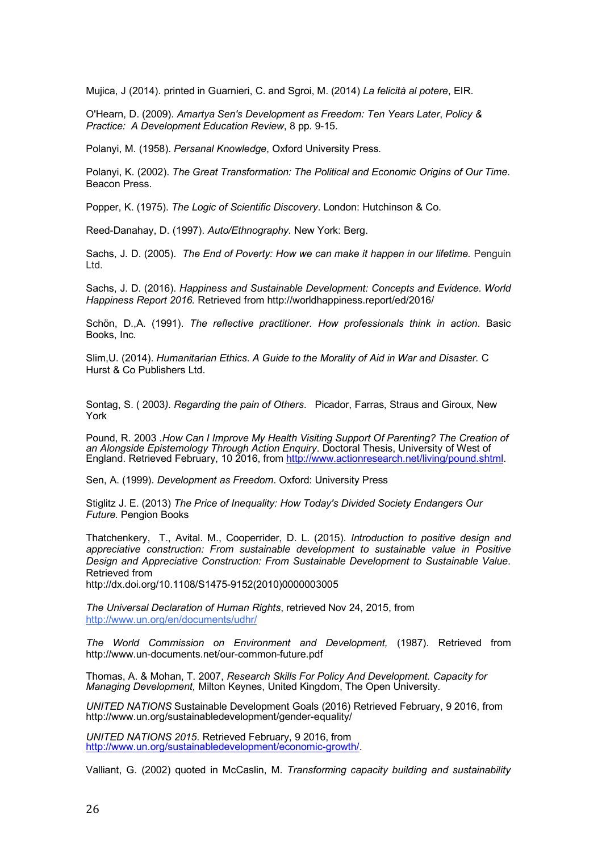Mujica, J (2014). printed in Guarnieri, C. and Sgroi, M. (2014) *La felicità al potere*, EIR.

O'Hearn, D. (2009). *Amartya Sen's Development as Freedom: Ten Years Later*, *Policy & Practice: A Development Education Review*, 8 pp. 9-15.

Polanyi, M. (1958). *Persanal Knowledge*, Oxford University Press.

Polanyi, K. (2002). *The Great Transformation: The Political and Economic Origins of Our Time*. Beacon Press.

Popper, K. (1975). *The Logic of Scientific Discovery*. London: Hutchinson & Co.

Reed-Danahay, D. (1997). *Auto/Ethnography.* New York: Berg.

Sachs, J. D. (2005). *The End of Poverty: How we can make it happen in our lifetime.* Penguin Ltd.

Sachs, J. D. (2016). *Happiness and Sustainable Development: Concepts and Evidence*. *World Happiness Report 2016.* Retrieved from http://worldhappiness.report/ed/2016/

Schön, D.,A. (1991). *The reflective practitioner. How professionals think in action*. Basic Books, Inc.

Slim,U. (2014). *Humanitarian Ethics*. *A Guide to the Morality of Aid in War and Disaster.* C Hurst & Co Publishers Ltd.

Sontag, S. ( 2003*). Regarding the pain of Others*. Picador, Farras, Straus and Giroux, New York

Pound, R. 2003 .*How Can I Improve My Health Visiting Support Of Parenting? The Creation of an Alongside Epistemology Through Action Enquiry*. Doctoral Thesis, University of West of England. Retrieved February, 10 2016, from http://www.actionresearch.net/living/pound.shtml.

Sen, A. (1999). *Development as Freedom*. Oxford: University Press

Stiglitz J. E. (2013) *The Price of Inequality: How Today's Divided Society Endangers Our Future.* Pengion Books

Thatchenkery, T., Avital. M., Cooperrider, D. L. (2015). *Introduction to positive design and appreciative construction: From sustainable development to sustainable value in Positive Design and Appreciative Construction: From Sustainable Development to Sustainable Value*. Retrieved from

http://dx.doi.org/10.1108/S1475-9152(2010)0000003005

*The Universal Declaration of Human Rights*, retrieved Nov 24, 2015, from http://www.un.org/en/documents/udhr/

*The World Commission on Environment and Development,* (1987). Retrieved from http://www.un-documents.net/our-common-future.pdf

Thomas, A. & Mohan, T. 2007, *Research Skills For Policy And Development. Capacity for Managing Development,* Milton Keynes, United Kingdom, The Open University.

*UNITED NATIONS* Sustainable Development Goals (2016) Retrieved February, 9 2016, from http://www.un.org/sustainabledevelopment/gender-equality/

*UNITED NATIONS 2015*. Retrieved February, 9 2016, from http://www.un.org/sustainabledevelopment/economic-growth/.

Valliant, G. (2002) quoted in McCaslin, M. *Transforming capacity building and sustainability*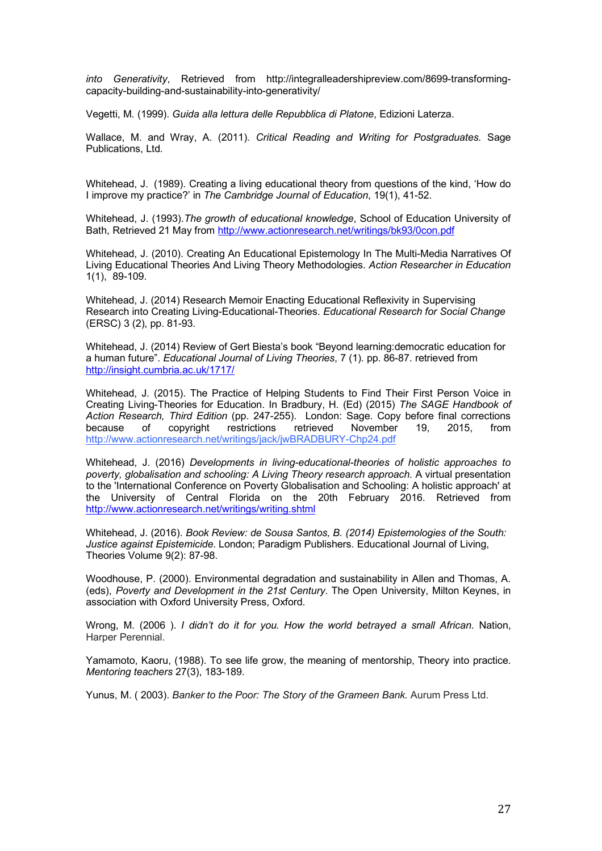*into Generativity*, Retrieved from http://integralleadershipreview.com/8699-transformingcapacity-building-and-sustainability-into-generativity/

Vegetti, M. (1999). *Guida alla lettura delle Repubblica di Platone*, Edizioni Laterza.

Wallace, M. and Wray, A. (2011). *Critical Reading and Writing for Postgraduates.* Sage Publications, Ltd*.*

Whitehead, J. (1989). Creating a living educational theory from questions of the kind, 'How do I improve my practice?' in *The Cambridge Journal of Education*, 19(1), 41-52.

Whitehead, J. (1993).*The growth of educational knowledge*, School of Education University of Bath, Retrieved 21 May from http://www.actionresearch.net/writings/bk93/0con.pdf

Whitehead, J. (2010). Creating An Educational Epistemology In The Multi-Media Narratives Of Living Educational Theories And Living Theory Methodologies. *Action Researcher in Education* 1(1), 89-109.

Whitehead, J. (2014) Research Memoir Enacting Educational Reflexivity in Supervising Research into Creating Living-Educational-Theories. *Educational Research for Social Change* (ERSC) 3 (2), pp. 81-93.

Whitehead, J. (2014) Review of Gert Biesta's book "Beyond learning:democratic education for a human future". *Educational Journal of Living Theories*, 7 (1). pp. 86-87. retrieved from http://insight.cumbria.ac.uk/1717/

Whitehead, J. (2015). The Practice of Helping Students to Find Their First Person Voice in Creating Living-Theories for Education. In Bradbury, H. (Ed) (2015) *The SAGE Handbook of Action Research, Third Edition* (pp. 247-255). London: Sage. Copy before final corrections because of copyright restrictions retrieved November 19, 2015, from http://www.actionresearch.net/writings/jack/jwBRADBURY-Chp24.pdf

Whitehead, J. (2016) *Developments in living-educational-theories of holistic approaches to poverty, globalisation and schooling: A Living Theory research approach.* A virtual presentation to the 'International Conference on Poverty Globalisation and Schooling: A holistic approach' at the University of Central Florida on the 20th February 2016. Retrieved from http://www.actionresearch.net/writings/writing.shtml

Whitehead, J. (2016). *Book Review: de Sousa Santos, B. (2014) Epistemologies of the South: Justice against Epistemicide*. London; Paradigm Publishers. Educational Journal of Living, Theories Volume 9(2): 87-98.

Woodhouse, P. (2000). Environmental degradation and sustainability in Allen and Thomas, A. (eds), *Poverty and Development in the 21st Century*. The Open University, Milton Keynes, in association with Oxford University Press, Oxford.

Wrong, M. (2006 ). *I didn't do it for you. How the world betrayed a small African*. Nation, Harper Perennial.

Yamamoto, Kaoru, (1988). To see life grow, the meaning of mentorship, Theory into practice. *Mentoring teachers* 27(3), 183-189.

Yunus, M. ( 2003). *Banker to the Poor: The Story of the Grameen Bank*. Aurum Press Ltd.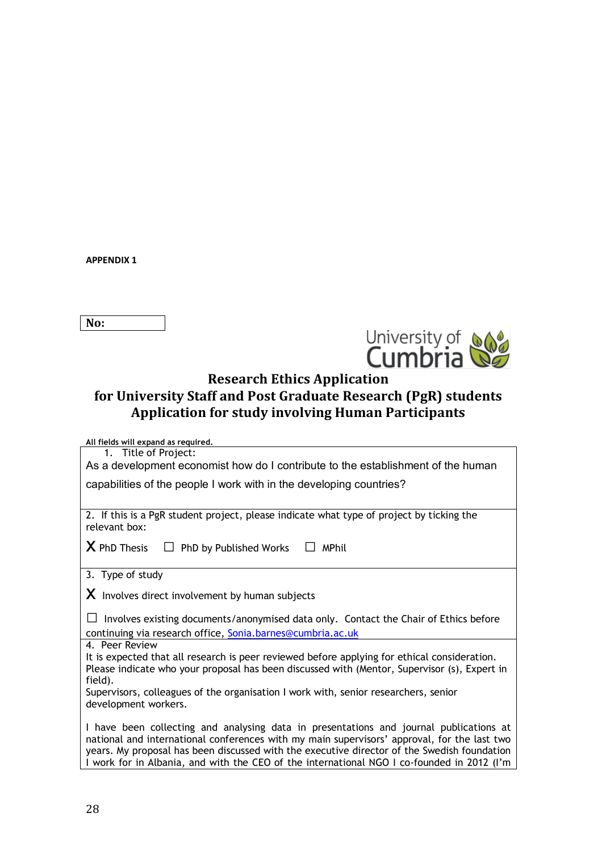**APPENDIX 1** 

**No:**



# **Research Ethics Application**

# for University Staff and Post Graduate Research (PgR) students Application for study involving Human Participants

**All fields will expand as required.**

1. Title of Project: As a development economist how do I contribute to the establishment of the human

capabilities of the people I work with in the developing countries?

2. If this is a PgR student project, please indicate what type of project by ticking the relevant box:

**X** PhD Thesis  $\Box$  PhD by Published Works  $\Box$  MPhil

3. Type of study

 $X$  Involves direct involvement by human subjects

 $\Box$  Involves existing documents/anonymised data only. Contact the Chair of Ethics before continuing via research office, Sonia.barnes@cumbria.ac.uk

4. Peer Review

It is expected that all research is peer reviewed before applying for ethical consideration. Please indicate who your proposal has been discussed with (Mentor, Supervisor (s), Expert in field).

Supervisors, colleagues of the organisation I work with, senior researchers, senior development workers.

I have been collecting and analysing data in presentations and journal publications at national and international conferences with my main supervisors' approval, for the last two years. My proposal has been discussed with the executive director of the Swedish foundation I work for in Albania, and with the CEO of the international NGO I co-founded in 2012 (I'm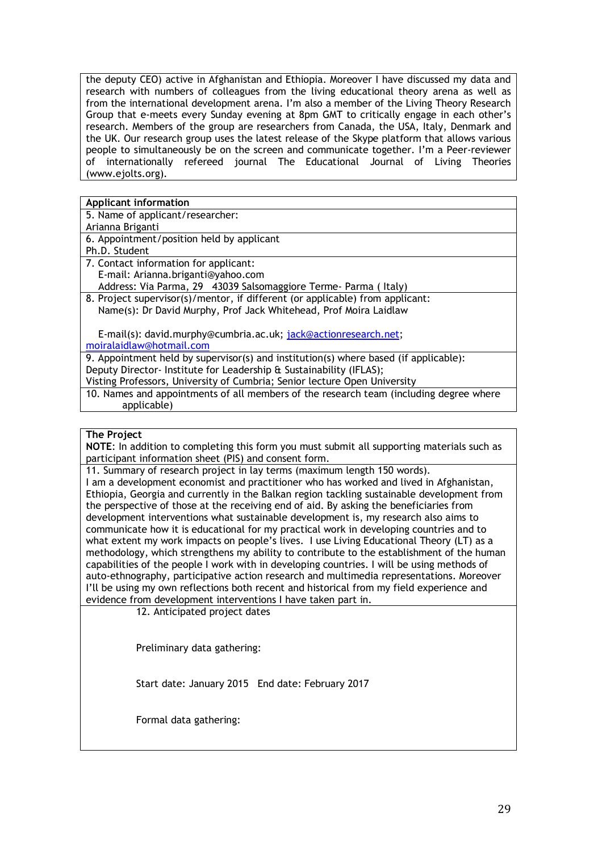the deputy CEO) active in Afghanistan and Ethiopia. Moreover I have discussed my data and research with numbers of colleagues from the living educational theory arena as well as from the international development arena. I'm also a member of the Living Theory Research Group that e-meets every Sunday evening at 8pm GMT to critically engage in each other's research. Members of the group are researchers from Canada, the USA, Italy, Denmark and the UK. Our research group uses the latest release of the Skype platform that allows various people to simultaneously be on the screen and communicate together. I'm a Peer-reviewer of internationally refereed journal The Educational Journal of Living Theories (www.ejolts.org).

# **Applicant information**

| 5. Name of applicant/researcher: |  |
|----------------------------------|--|
|----------------------------------|--|

| Arianna Briganti |  |
|------------------|--|
|                  |  |

|  | 6. Appointment/position held by applicant |  |  |
|--|-------------------------------------------|--|--|
|  |                                           |  |  |

- Ph.D. Student
- 7. Contact information for applicant: E-mail: Arianna.briganti@yahoo.com Address: Via Parma, 29 43039 Salsomaggiore Terme- Parma ( Italy)
- 8. Project supervisor(s)/mentor, if different (or applicable) from applicant: Name(s): Dr David Murphy, Prof Jack Whitehead, Prof Moira Laidlaw

 E-mail(s): david.murphy@cumbria.ac.uk; jack@actionresearch.net; moiralaidlaw@hotmail.com

9. Appointment held by supervisor(s) and institution(s) where based (if applicable): Deputy Director- Institute for Leadership & Sustainability (IFLAS);

Visting Professors, University of Cumbria; Senior lecture Open University

10. Names and appointments of all members of the research team (including degree where applicable)

# **The Project**

**NOTE**: In addition to completing this form you must submit all supporting materials such as participant information sheet (PIS) and consent form.

11. Summary of research project in lay terms (maximum length 150 words).

I am a development economist and practitioner who has worked and lived in Afghanistan, Ethiopia, Georgia and currently in the Balkan region tackling sustainable development from the perspective of those at the receiving end of aid. By asking the beneficiaries from development interventions what sustainable development is, my research also aims to communicate how it is educational for my practical work in developing countries and to what extent my work impacts on people's lives. I use Living Educational Theory (LT) as a methodology, which strengthens my ability to contribute to the establishment of the human capabilities of the people I work with in developing countries. I will be using methods of auto-ethnography, participative action research and multimedia representations. Moreover I'll be using my own reflections both recent and historical from my field experience and evidence from development interventions I have taken part in.

12. Anticipated project dates

Preliminary data gathering:

Start date: January 2015 End date: February 2017

Formal data gathering: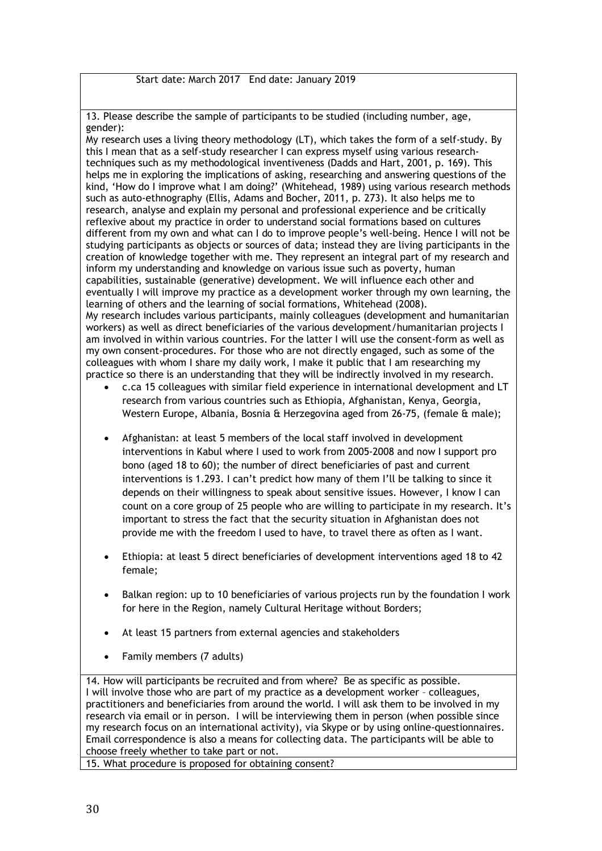Start date: March 2017 End date: January 2019

13. Please describe the sample of participants to be studied (including number, age, gender):

My research uses a living theory methodology (LT), which takes the form of a self-study. By this I mean that as a self-study researcher I can express myself using various researchtechniques such as my methodological inventiveness (Dadds and Hart, 2001, p. 169). This helps me in exploring the implications of asking, researching and answering questions of the kind, 'How do I improve what I am doing?' (Whitehead, 1989) using various research methods such as auto-ethnography (Ellis, Adams and Bocher, 2011, p. 273). It also helps me to research, analyse and explain my personal and professional experience and be critically reflexive about my practice in order to understand social formations based on cultures different from my own and what can I do to improve people's well-being. Hence I will not be studying participants as objects or sources of data; instead they are living participants in the creation of knowledge together with me. They represent an integral part of my research and inform my understanding and knowledge on various issue such as poverty, human capabilities, sustainable (generative) development. We will influence each other and eventually I will improve my practice as a development worker through my own learning, the learning of others and the learning of social formations, Whitehead (2008). My research includes various participants, mainly colleagues (development and humanitarian workers) as well as direct beneficiaries of the various development/humanitarian projects I am involved in within various countries. For the latter I will use the consent-form as well as my own consent-procedures. For those who are not directly engaged, such as some of the colleagues with whom I share my daily work, I make it public that I am researching my practice so there is an understanding that they will be indirectly involved in my research.

- c.ca 15 colleagues with similar field experience in international development and LT research from various countries such as Ethiopia, Afghanistan, Kenya, Georgia, Western Europe, Albania, Bosnia & Herzegovina aged from 26-75, (female & male);
- Afghanistan: at least 5 members of the local staff involved in development interventions in Kabul where I used to work from 2005-2008 and now I support pro bono (aged 18 to 60); the number of direct beneficiaries of past and current interventions is 1.293. I can't predict how many of them I'll be talking to since it depends on their willingness to speak about sensitive issues. However, I know I can count on a core group of 25 people who are willing to participate in my research. It's important to stress the fact that the security situation in Afghanistan does not provide me with the freedom I used to have, to travel there as often as I want.
- Ethiopia: at least 5 direct beneficiaries of development interventions aged 18 to 42 female;
- Balkan region: up to 10 beneficiaries of various projects run by the foundation I work for here in the Region, namely Cultural Heritage without Borders;
- At least 15 partners from external agencies and stakeholders
- Family members (7 adults)

14. How will participants be recruited and from where? Be as specific as possible. I will involve those who are part of my practice as **a** development worker – colleagues, practitioners and beneficiaries from around the world. I will ask them to be involved in my research via email or in person. I will be interviewing them in person (when possible since my research focus on an international activity), via Skype or by using online-questionnaires. Email correspondence is also a means for collecting data. The participants will be able to choose freely whether to take part or not.

15. What procedure is proposed for obtaining consent?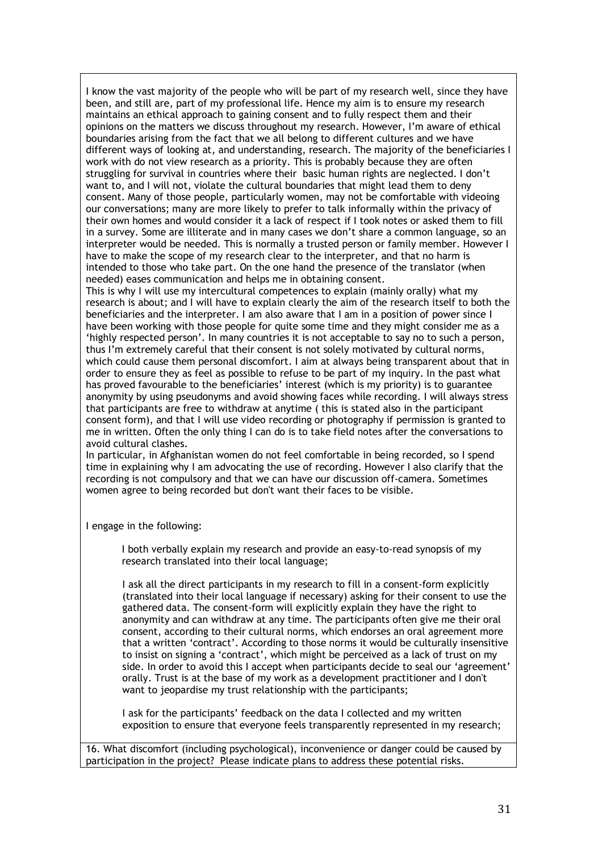I know the vast majority of the people who will be part of my research well, since they have been, and still are, part of my professional life. Hence my aim is to ensure my research maintains an ethical approach to gaining consent and to fully respect them and their opinions on the matters we discuss throughout my research. However, I'm aware of ethical boundaries arising from the fact that we all belong to different cultures and we have different ways of looking at, and understanding, research. The majority of the beneficiaries I work with do not view research as a priority. This is probably because they are often struggling for survival in countries where their basic human rights are neglected. I don't want to, and I will not, violate the cultural boundaries that might lead them to deny consent. Many of those people, particularly women, may not be comfortable with videoing our conversations; many are more likely to prefer to talk informally within the privacy of their own homes and would consider it a lack of respect if I took notes or asked them to fill in a survey. Some are illiterate and in many cases we don't share a common language, so an interpreter would be needed. This is normally a trusted person or family member. However I have to make the scope of my research clear to the interpreter, and that no harm is intended to those who take part. On the one hand the presence of the translator (when needed) eases communication and helps me in obtaining consent.

This is why I will use my intercultural competences to explain (mainly orally) what my research is about; and I will have to explain clearly the aim of the research itself to both the beneficiaries and the interpreter. I am also aware that I am in a position of power since I have been working with those people for quite some time and they might consider me as a 'highly respected person'. In many countries it is not acceptable to say no to such a person, thus I'm extremely careful that their consent is not solely motivated by cultural norms, which could cause them personal discomfort. I aim at always being transparent about that in order to ensure they as feel as possible to refuse to be part of my inquiry. In the past what has proved favourable to the beneficiaries' interest (which is my priority) is to guarantee anonymity by using pseudonyms and avoid showing faces while recording. I will always stress that participants are free to withdraw at anytime ( this is stated also in the participant consent form), and that I will use video recording or photography if permission is granted to me in written. Often the only thing I can do is to take field notes after the conversations to avoid cultural clashes.

In particular, in Afghanistan women do not feel comfortable in being recorded, so I spend time in explaining why I am advocating the use of recording. However I also clarify that the recording is not compulsory and that we can have our discussion off-camera. Sometimes women agree to being recorded but don't want their faces to be visible.

I engage in the following:

I both verbally explain my research and provide an easy-to-read synopsis of my research translated into their local language;

I ask all the direct participants in my research to fill in a consent-form explicitly (translated into their local language if necessary) asking for their consent to use the gathered data. The consent-form will explicitly explain they have the right to anonymity and can withdraw at any time. The participants often give me their oral consent, according to their cultural norms, which endorses an oral agreement more that a written 'contract'. According to those norms it would be culturally insensitive to insist on signing a 'contract', which might be perceived as a lack of trust on my side. In order to avoid this I accept when participants decide to seal our 'agreement' orally. Trust is at the base of my work as a development practitioner and I don't want to jeopardise my trust relationship with the participants;

I ask for the participants' feedback on the data I collected and my written exposition to ensure that everyone feels transparently represented in my research;

16. What discomfort (including psychological), inconvenience or danger could be caused by participation in the project? Please indicate plans to address these potential risks.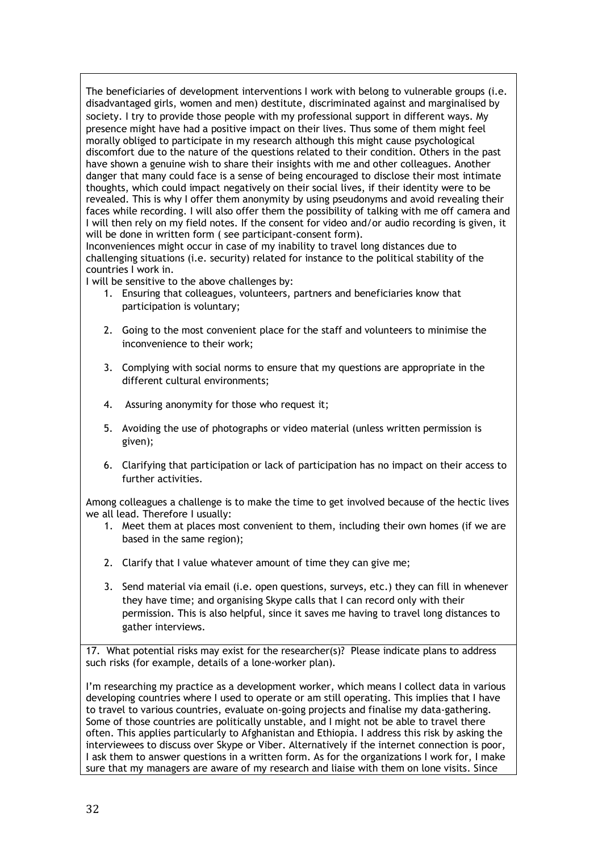The beneficiaries of development interventions I work with belong to vulnerable groups (i.e. disadvantaged girls, women and men) destitute, discriminated against and marginalised by society. I try to provide those people with my professional support in different ways. My presence might have had a positive impact on their lives. Thus some of them might feel morally obliged to participate in my research although this might cause psychological discomfort due to the nature of the questions related to their condition. Others in the past have shown a genuine wish to share their insights with me and other colleagues. Another danger that many could face is a sense of being encouraged to disclose their most intimate thoughts, which could impact negatively on their social lives, if their identity were to be revealed. This is why I offer them anonymity by using pseudonyms and avoid revealing their faces while recording. I will also offer them the possibility of talking with me off camera and I will then rely on my field notes. If the consent for video and/or audio recording is given, it will be done in written form ( see participant-consent form).

Inconveniences might occur in case of my inability to travel long distances due to challenging situations (i.e. security) related for instance to the political stability of the countries I work in.

I will be sensitive to the above challenges by:

- 1. Ensuring that colleagues, volunteers, partners and beneficiaries know that participation is voluntary;
- 2. Going to the most convenient place for the staff and volunteers to minimise the inconvenience to their work;
- 3. Complying with social norms to ensure that my questions are appropriate in the different cultural environments;
- 4. Assuring anonymity for those who request it;
- 5. Avoiding the use of photographs or video material (unless written permission is given);
- 6. Clarifying that participation or lack of participation has no impact on their access to further activities.

Among colleagues a challenge is to make the time to get involved because of the hectic lives we all lead. Therefore I usually:

- 1. Meet them at places most convenient to them, including their own homes (if we are based in the same region);
- 2. Clarify that I value whatever amount of time they can give me;
- 3. Send material via email (i.e. open questions, surveys, etc.) they can fill in whenever they have time; and organising Skype calls that I can record only with their permission. This is also helpful, since it saves me having to travel long distances to gather interviews.

17. What potential risks may exist for the researcher(s)? Please indicate plans to address such risks (for example, details of a lone-worker plan).

I'm researching my practice as a development worker, which means I collect data in various developing countries where I used to operate or am still operating. This implies that I have to travel to various countries, evaluate on-going projects and finalise my data-gathering. Some of those countries are politically unstable, and I might not be able to travel there often. This applies particularly to Afghanistan and Ethiopia. I address this risk by asking the interviewees to discuss over Skype or Viber. Alternatively if the internet connection is poor, I ask them to answer questions in a written form. As for the organizations I work for, I make sure that my managers are aware of my research and liaise with them on lone visits. Since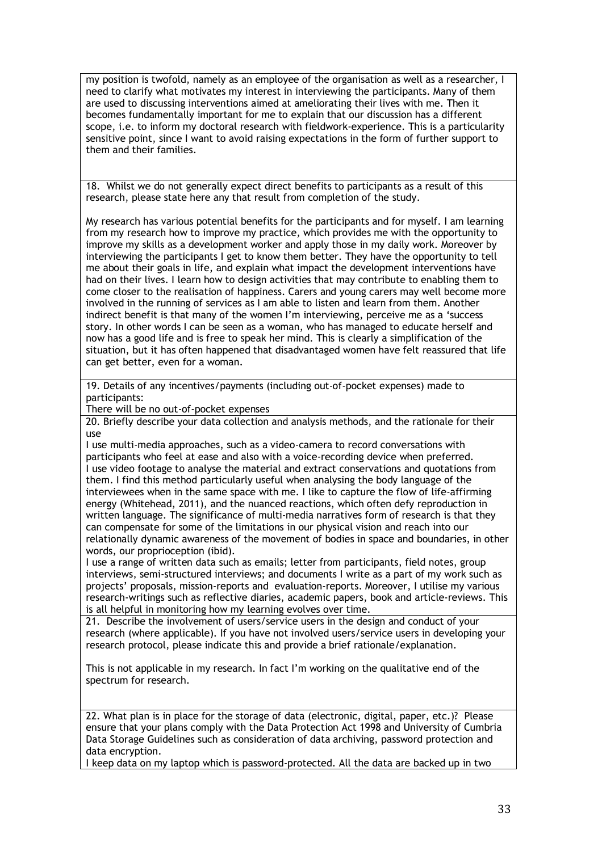my position is twofold, namely as an employee of the organisation as well as a researcher, I need to clarify what motivates my interest in interviewing the participants. Many of them are used to discussing interventions aimed at ameliorating their lives with me. Then it becomes fundamentally important for me to explain that our discussion has a different scope, i.e. to inform my doctoral research with fieldwork-experience. This is a particularity sensitive point, since I want to avoid raising expectations in the form of further support to them and their families.

18. Whilst we do not generally expect direct benefits to participants as a result of this research, please state here any that result from completion of the study.

My research has various potential benefits for the participants and for myself. I am learning from my research how to improve my practice, which provides me with the opportunity to improve my skills as a development worker and apply those in my daily work. Moreover by interviewing the participants I get to know them better. They have the opportunity to tell me about their goals in life, and explain what impact the development interventions have had on their lives. I learn how to design activities that may contribute to enabling them to come closer to the realisation of happiness. Carers and young carers may well become more involved in the running of services as I am able to listen and learn from them. Another indirect benefit is that many of the women I'm interviewing, perceive me as a 'success story. In other words I can be seen as a woman, who has managed to educate herself and now has a good life and is free to speak her mind. This is clearly a simplification of the situation, but it has often happened that disadvantaged women have felt reassured that life can get better, even for a woman.

19. Details of any incentives/payments (including out-of-pocket expenses) made to participants:

There will be no out-of-pocket expenses

20. Briefly describe your data collection and analysis methods, and the rationale for their use

I use multi-media approaches, such as a video-camera to record conversations with participants who feel at ease and also with a voice-recording device when preferred. I use video footage to analyse the material and extract conservations and quotations from them. I find this method particularly useful when analysing the body language of the interviewees when in the same space with me. I like to capture the flow of life-affirming energy (Whitehead, 2011), and the nuanced reactions, which often defy reproduction in written language. The significance of multi-media narratives form of research is that they can compensate for some of the limitations in our physical vision and reach into our relationally dynamic awareness of the movement of bodies in space and boundaries, in other words, our proprioception (ibid).

I use a range of written data such as emails; letter from participants, field notes, group interviews, semi-structured interviews; and documents I write as a part of my work such as projects' proposals, mission-reports and evaluation-reports. Moreover, I utilise my various research-writings such as reflective diaries, academic papers, book and article-reviews. This is all helpful in monitoring how my learning evolves over time.

21. Describe the involvement of users/service users in the design and conduct of your research (where applicable). If you have not involved users/service users in developing your research protocol, please indicate this and provide a brief rationale/explanation.

This is not applicable in my research. In fact I'm working on the qualitative end of the spectrum for research.

22. What plan is in place for the storage of data (electronic, digital, paper, etc.)? Please ensure that your plans comply with the Data Protection Act 1998 and University of Cumbria Data Storage Guidelines such as consideration of data archiving, password protection and data encryption.

I keep data on my laptop which is password-protected. All the data are backed up in two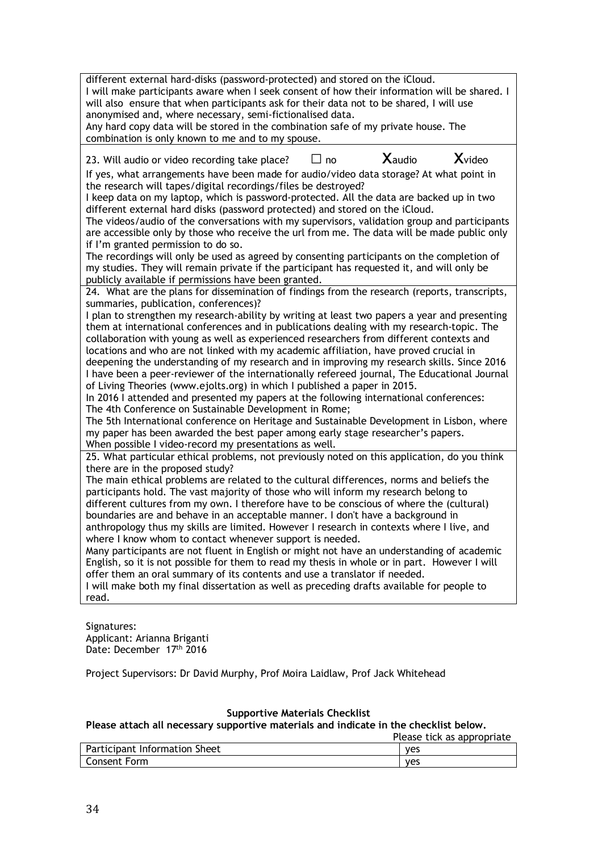different external hard-disks (password-protected) and stored on the iCloud. I will make participants aware when I seek consent of how their information will be shared. I will also ensure that when participants ask for their data not to be shared, I will use anonymised and, where necessary, semi-fictionalised data. Any hard copy data will be stored in the combination safe of my private house. The combination is only known to me and to my spouse. 23. Will audio or video recording take place?  $\Box$  no  $\Box$  Xaudio  $\Box$  Xvideo If yes, what arrangements have been made for audio/video data storage? At what point in the research will tapes/digital recordings/files be destroyed? I keep data on my laptop, which is password-protected. All the data are backed up in two

different external hard disks (password protected) and stored on the iCloud. The videos/audio of the conversations with my supervisors, validation group and participants are accessible only by those who receive the url from me. The data will be made public only if I'm granted permission to do so.

The recordings will only be used as agreed by consenting participants on the completion of my studies. They will remain private if the participant has requested it, and will only be publicly available if permissions have been granted.

24. What are the plans for dissemination of findings from the research (reports, transcripts, summaries, publication, conferences)?

I plan to strengthen my research-ability by writing at least two papers a year and presenting them at international conferences and in publications dealing with my research-topic. The collaboration with young as well as experienced researchers from different contexts and locations and who are not linked with my academic affiliation, have proved crucial in deepening the understanding of my research and in improving my research skills. Since 2016 I have been a peer-reviewer of the internationally refereed journal, The Educational Journal of Living Theories (www.ejolts.org) in which I published a paper in 2015.

In 2016 I attended and presented my papers at the following international conferences: The 4th Conference on Sustainable Development in Rome;

The 5th International conference on Heritage and Sustainable Development in Lisbon, where my paper has been awarded the best paper among early stage researcher's papers. When possible I video-record my presentations as well.

25. What particular ethical problems, not previously noted on this application, do you think there are in the proposed study?

The main ethical problems are related to the cultural differences, norms and beliefs the participants hold. The vast majority of those who will inform my research belong to different cultures from my own. I therefore have to be conscious of where the (cultural) boundaries are and behave in an acceptable manner. I don't have a background in anthropology thus my skills are limited. However I research in contexts where I live, and where I know whom to contact whenever support is needed.

Many participants are not fluent in English or might not have an understanding of academic English, so it is not possible for them to read my thesis in whole or in part. However I will offer them an oral summary of its contents and use a translator if needed.

I will make both my final dissertation as well as preceding drafts available for people to read.

Signatures: Applicant: Arianna Briganti Date: December 17<sup>th</sup> 2016

Project Supervisors: Dr David Murphy, Prof Moira Laidlaw, Prof Jack Whitehead

# **Supportive Materials Checklist**

**Please attach all necessary supportive materials and indicate in the checklist below.**

|                               | Please tick as appropriate |
|-------------------------------|----------------------------|
| Participant Information Sheet | ves                        |
| <b>Consent Form</b>           | ves                        |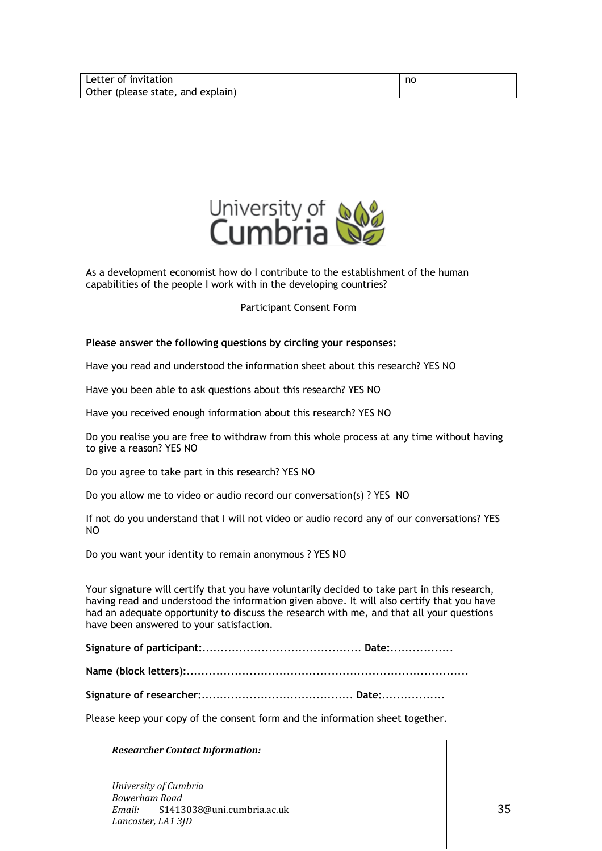

As a development economist how do I contribute to the establishment of the human capabilities of the people I work with in the developing countries?

# Participant Consent Form

# **Please answer the following questions by circling your responses:**

Have you read and understood the information sheet about this research? YES NO

Have you been able to ask questions about this research? YES NO

Have you received enough information about this research? YES NO

Do you realise you are free to withdraw from this whole process at any time without having to give a reason? YES NO

Do you agree to take part in this research? YES NO

Do you allow me to video or audio record our conversation(s) ? YES NO

If not do you understand that I will not video or audio record any of our conversations? YES NO

Do you want your identity to remain anonymous ? YES NO

Your signature will certify that you have voluntarily decided to take part in this research, having read and understood the information given above. It will also certify that you have had an adequate opportunity to discuss the research with me, and that all your questions have been answered to your satisfaction.

**Signature of participant:**........................................... **Date:**.................

**Name (block letters):**............................................................................

**Signature of researcher:**......................................... **Date:**.................

Please keep your copy of the consent form and the information sheet together.

*Researcher Contact Information:*

*University of Cumbria Bowerham Road Email:* S1413038@uni.cumbria.ac.uk Lancaster, LA1 3JD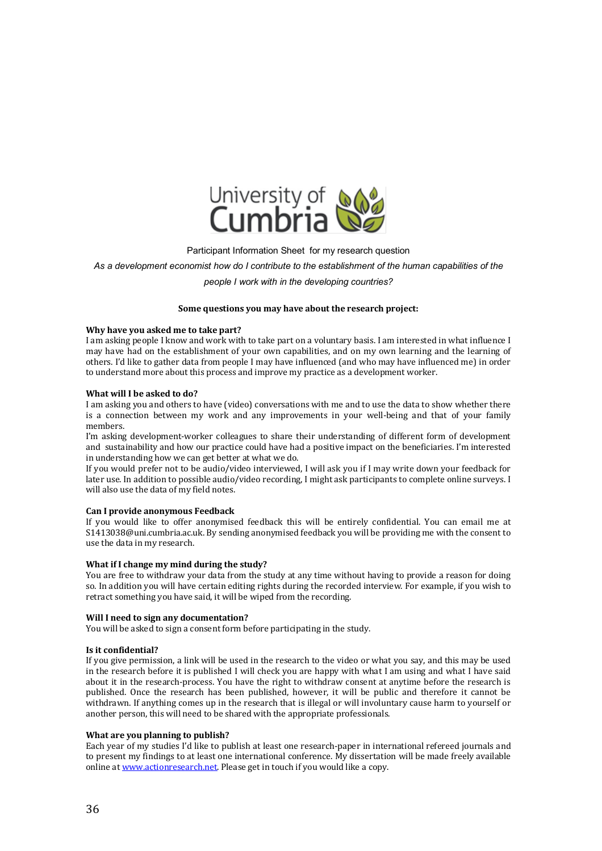

#### Participant Information Sheet for my research question

*As a development economist how do I contribute to the establishment of the human capabilities of the* 

*people I work with in the developing countries?*

#### Some questions you may have about the research project:

#### Why have you asked me to take part?

I am asking people I know and work with to take part on a voluntary basis. I am interested in what influence I may have had on the establishment of your own capabilities, and on my own learning and the learning of others. I'd like to gather data from people I may have influenced (and who may have influenced me) in order to understand more about this process and improve my practice as a development worker.

#### **What will I be asked to do?**

I am asking you and others to have (video) conversations with me and to use the data to show whether there is a connection between my work and any improvements in your well-being and that of your family members.

I'm asking development-worker colleagues to share their understanding of different form of development and sustainability and how our practice could have had a positive impact on the beneficiaries. I'm interested in understanding how we can get better at what we do.

If you would prefer not to be audio/video interviewed. I will ask you if I may write down your feedback for later use. In addition to possible audio/video recording, I might ask participants to complete online surveys. I will also use the data of my field notes.

#### **Can I provide anonymous Feedback**

If you would like to offer anonymised feedback this will be entirely confidential. You can email me at S1413038@uni.cumbria.ac.uk. By sending anonymised feedback you will be providing me with the consent to use the data in my research.

#### **What if I change my mind during the study?**

You are free to withdraw your data from the study at any time without having to provide a reason for doing so. In addition you will have certain editing rights during the recorded interview. For example, if you wish to retract something you have said, it will be wiped from the recording.

#### **Will I need to sign any documentation?**

You will be asked to sign a consent form before participating in the study.

#### **Is it confidential?**

If you give permission, a link will be used in the research to the video or what you say, and this may be used in the research before it is published I will check you are happy with what I am using and what I have said about it in the research-process. You have the right to withdraw consent at anytime before the research is published. Once the research has been published, however, it will be public and therefore it cannot be withdrawn. If anything comes up in the research that is illegal or will involuntary cause harm to yourself or another person, this will need to be shared with the appropriate professionals.

#### **What are you planning to publish?**

Each year of my studies I'd like to publish at least one research-paper in international refereed journals and to present my findings to at least one international conference. My dissertation will be made freely available online at www.actionresearch.net. Please get in touch if you would like a copy.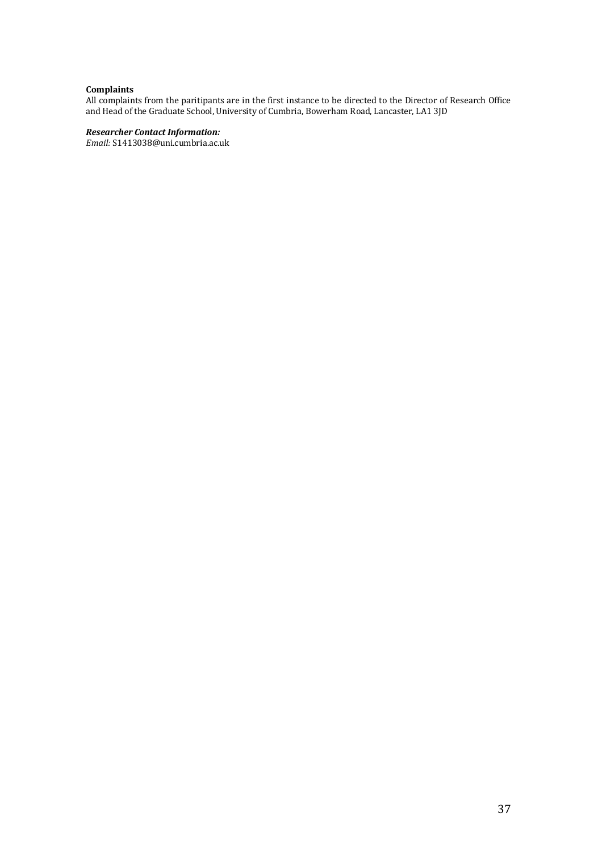# **Complaints**

All complaints from the paritipants are in the first instance to be directed to the Director of Research Office and Head of the Graduate School, University of Cumbria, Bowerham Road, Lancaster, LA1 3JD

# *Researcher Contact Information:*

*Email:* S1413038@uni.cumbria.ac.uk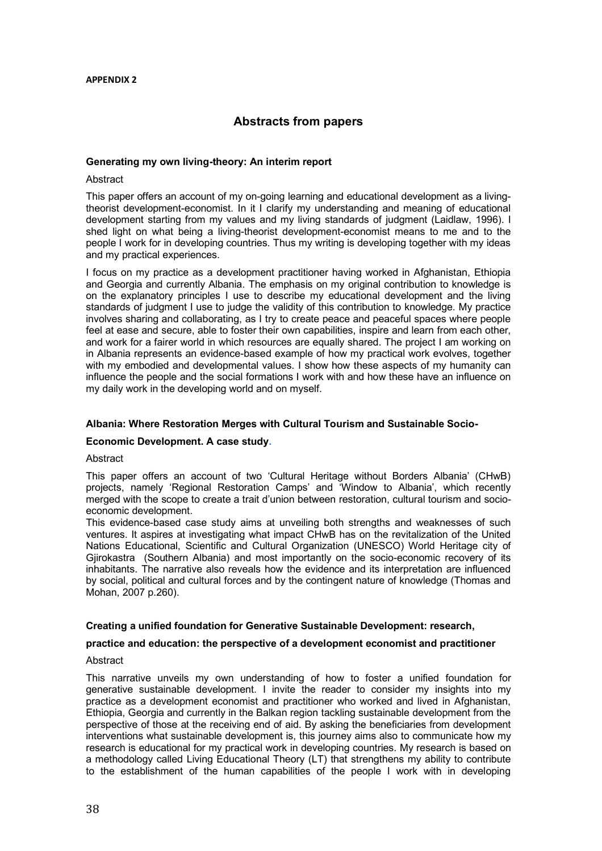#### **APPENDIX 2**

# **Abstracts from papers**

#### **Generating my own living-theory: An interim report**

#### Abstract

This paper offers an account of my on-going learning and educational development as a livingtheorist development-economist. In it I clarify my understanding and meaning of educational development starting from my values and my living standards of judgment (Laidlaw, 1996). I shed light on what being a living-theorist development-economist means to me and to the people I work for in developing countries. Thus my writing is developing together with my ideas and my practical experiences.

I focus on my practice as a development practitioner having worked in Afghanistan, Ethiopia and Georgia and currently Albania. The emphasis on my original contribution to knowledge is on the explanatory principles I use to describe my educational development and the living standards of judgment I use to judge the validity of this contribution to knowledge. My practice involves sharing and collaborating, as I try to create peace and peaceful spaces where people feel at ease and secure, able to foster their own capabilities, inspire and learn from each other, and work for a fairer world in which resources are equally shared. The project I am working on in Albania represents an evidence-based example of how my practical work evolves, together with my embodied and developmental values. I show how these aspects of my humanity can influence the people and the social formations I work with and how these have an influence on my daily work in the developing world and on myself.

#### **Albania: Where Restoration Merges with Cultural Tourism and Sustainable Socio-**

## **Economic Development. A case study.**

#### Abstract

This paper offers an account of two 'Cultural Heritage without Borders Albania' (CHwB) projects, namely 'Regional Restoration Camps' and 'Window to Albania', which recently merged with the scope to create a trait d'union between restoration, cultural tourism and socioeconomic development.

This evidence-based case study aims at unveiling both strengths and weaknesses of such ventures. It aspires at investigating what impact CHwB has on the revitalization of the United Nations Educational, Scientific and Cultural Organization (UNESCO) World Heritage city of Gjirokastra (Southern Albania) and most importantly on the socio-economic recovery of its inhabitants. The narrative also reveals how the evidence and its interpretation are influenced by social, political and cultural forces and by the contingent nature of knowledge (Thomas and Mohan, 2007 p.260).

### **Creating a unified foundation for Generative Sustainable Development: research,**

#### **practice and education: the perspective of a development economist and practitioner**

#### **Abstract**

This narrative unveils my own understanding of how to foster a unified foundation for generative sustainable development. I invite the reader to consider my insights into my practice as a development economist and practitioner who worked and lived in Afghanistan, Ethiopia, Georgia and currently in the Balkan region tackling sustainable development from the perspective of those at the receiving end of aid. By asking the beneficiaries from development interventions what sustainable development is, this journey aims also to communicate how my research is educational for my practical work in developing countries. My research is based on a methodology called Living Educational Theory (LT) that strengthens my ability to contribute to the establishment of the human capabilities of the people I work with in developing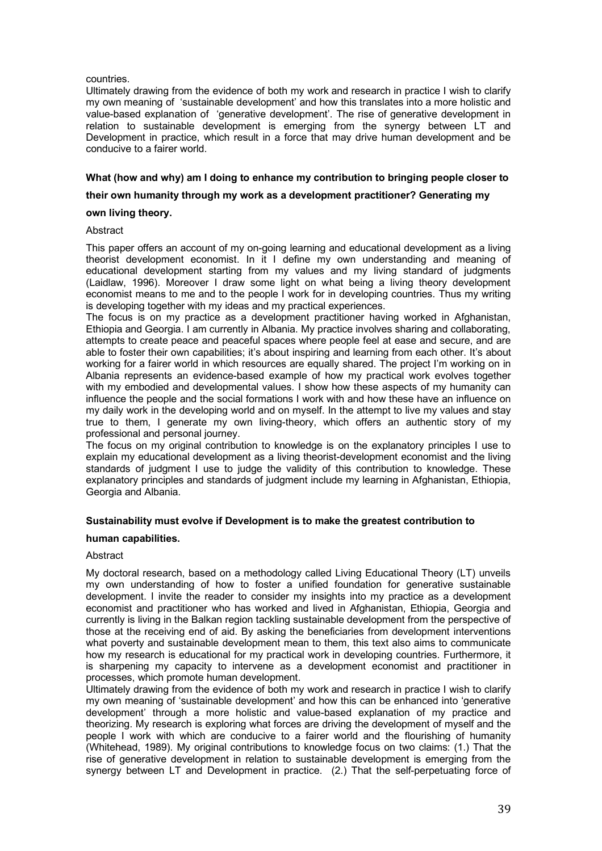# countries.

Ultimately drawing from the evidence of both my work and research in practice I wish to clarify my own meaning of 'sustainable development' and how this translates into a more holistic and value-based explanation of 'generative development'. The rise of generative development in relation to sustainable development is emerging from the synergy between LT and Development in practice, which result in a force that may drive human development and be conducive to a fairer world.

# **What (how and why) am I doing to enhance my contribution to bringing people closer to**

# **their own humanity through my work as a development practitioner? Generating my**

# **own living theory.**

# **Abstract**

This paper offers an account of my on-going learning and educational development as a living theorist development economist. In it I define my own understanding and meaning of educational development starting from my values and my living standard of judgments (Laidlaw, 1996). Moreover I draw some light on what being a living theory development economist means to me and to the people I work for in developing countries. Thus my writing is developing together with my ideas and my practical experiences.

The focus is on my practice as a development practitioner having worked in Afghanistan, Ethiopia and Georgia. I am currently in Albania. My practice involves sharing and collaborating, attempts to create peace and peaceful spaces where people feel at ease and secure, and are able to foster their own capabilities; it's about inspiring and learning from each other. It's about working for a fairer world in which resources are equally shared. The project I'm working on in Albania represents an evidence-based example of how my practical work evolves together with my embodied and developmental values. I show how these aspects of my humanity can influence the people and the social formations I work with and how these have an influence on my daily work in the developing world and on myself. In the attempt to live my values and stay true to them, I generate my own living-theory, which offers an authentic story of my professional and personal journey.

The focus on my original contribution to knowledge is on the explanatory principles I use to explain my educational development as a living theorist-development economist and the living standards of judgment I use to judge the validity of this contribution to knowledge. These explanatory principles and standards of judgment include my learning in Afghanistan, Ethiopia, Georgia and Albania.

# **Sustainability must evolve if Development is to make the greatest contribution to**

### **human capabilities.**

### Abstract

My doctoral research, based on a methodology called Living Educational Theory (LT) unveils my own understanding of how to foster a unified foundation for generative sustainable development. I invite the reader to consider my insights into my practice as a development economist and practitioner who has worked and lived in Afghanistan, Ethiopia, Georgia and currently is living in the Balkan region tackling sustainable development from the perspective of those at the receiving end of aid. By asking the beneficiaries from development interventions what poverty and sustainable development mean to them, this text also aims to communicate how my research is educational for my practical work in developing countries. Furthermore, it is sharpening my capacity to intervene as a development economist and practitioner in processes, which promote human development.

Ultimately drawing from the evidence of both my work and research in practice I wish to clarify my own meaning of 'sustainable development' and how this can be enhanced into 'generative development' through a more holistic and value-based explanation of my practice and theorizing. My research is exploring what forces are driving the development of myself and the people I work with which are conducive to a fairer world and the flourishing of humanity (Whitehead, 1989). My original contributions to knowledge focus on two claims: (1.) That the rise of generative development in relation to sustainable development is emerging from the synergy between LT and Development in practice. (2.) That the self-perpetuating force of